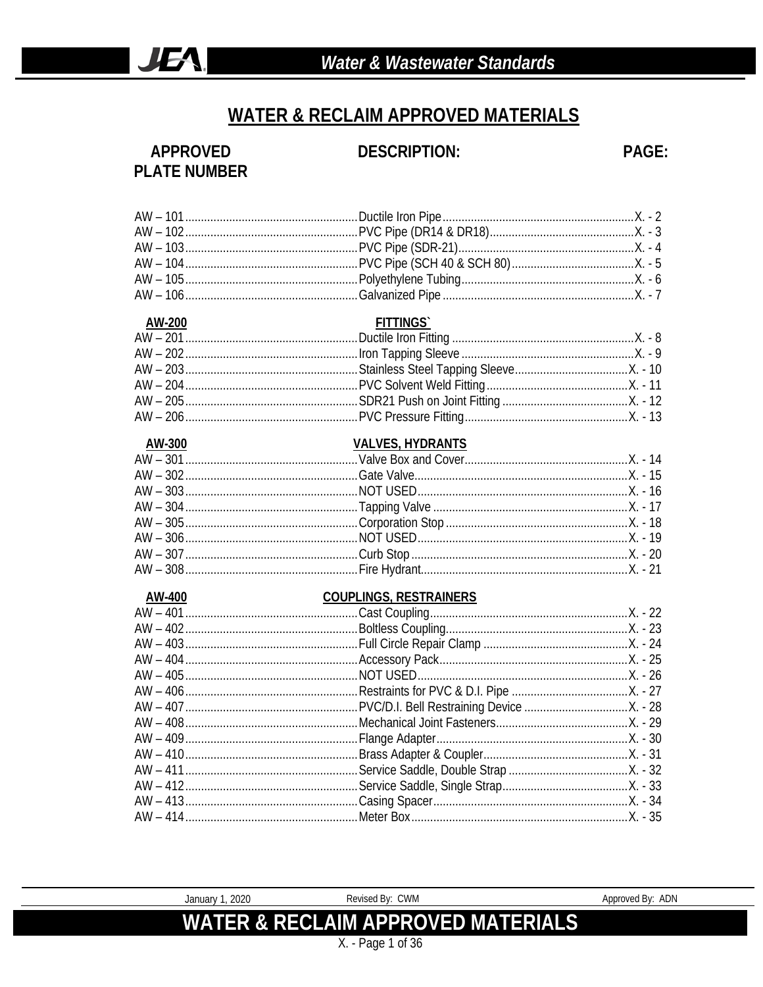#### **WATER & RECLAIM APPROVED MATERIALS**

**APPROVED** 

**DESCRIPTION:** 

PAGE:

# **PLATE NUMBER**

| AW-200 | <b>FITTINGS</b>               |  |
|--------|-------------------------------|--|
|        |                               |  |
|        |                               |  |
|        |                               |  |
|        |                               |  |
|        |                               |  |
|        |                               |  |
| AW-300 | <b>VALVES, HYDRANTS</b>       |  |
|        |                               |  |
|        |                               |  |
|        |                               |  |
|        |                               |  |
|        |                               |  |
|        |                               |  |
|        |                               |  |
|        |                               |  |
| AW-400 | <b>COUPLINGS, RESTRAINERS</b> |  |
|        |                               |  |
|        |                               |  |
|        |                               |  |
|        |                               |  |
|        |                               |  |
|        |                               |  |
|        |                               |  |
|        |                               |  |
|        |                               |  |
|        |                               |  |
|        |                               |  |
|        |                               |  |
|        |                               |  |
|        |                               |  |
|        |                               |  |

Revised By: CWM

**WATER & RECLAIM APPROVED MATERIALS** X. - Page 1 of 36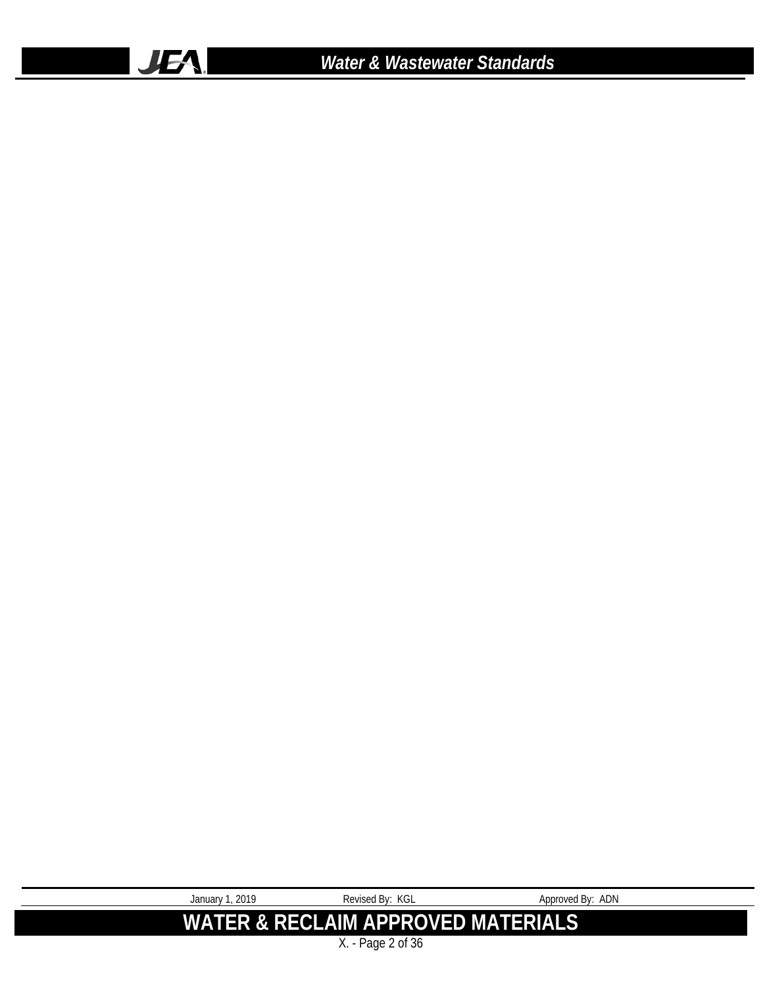JEA.



X. - Page 2 of 36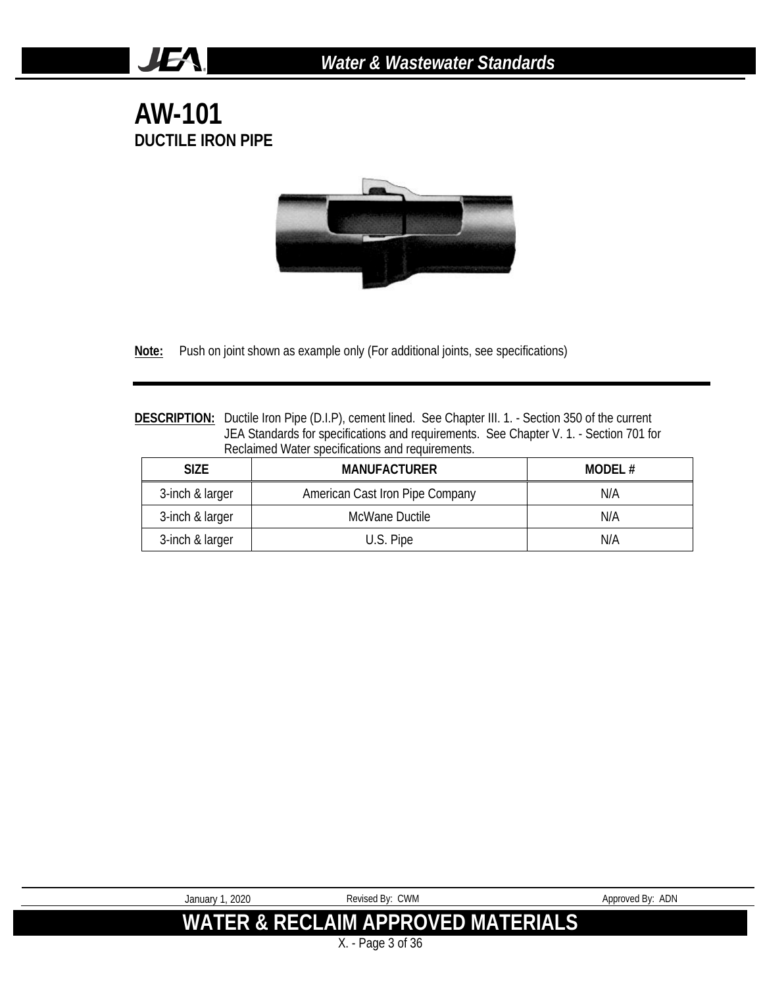**AW-101 DUCTILE IRON PIPE**

**JEA** 



**Note:** Push on joint shown as example only (For additional joints, see specifications)

**DESCRIPTION:** Ductile Iron Pipe (D.I.P), cement lined. See Chapter III. 1. - Section 350 of the current JEA Standards for specifications and requirements. See Chapter V. 1. - Section 701 for Reclaimed Water specifications and requirements.

| <b>SIZE</b>     | <b>MANUFACTURER</b>             | MODEL# |
|-----------------|---------------------------------|--------|
| 3-inch & larger | American Cast Iron Pipe Company | N/A    |
| 3-inch & larger | McWane Ductile                  | N/A    |
| 3-inch & larger | U.S. Pipe                       | N/A    |

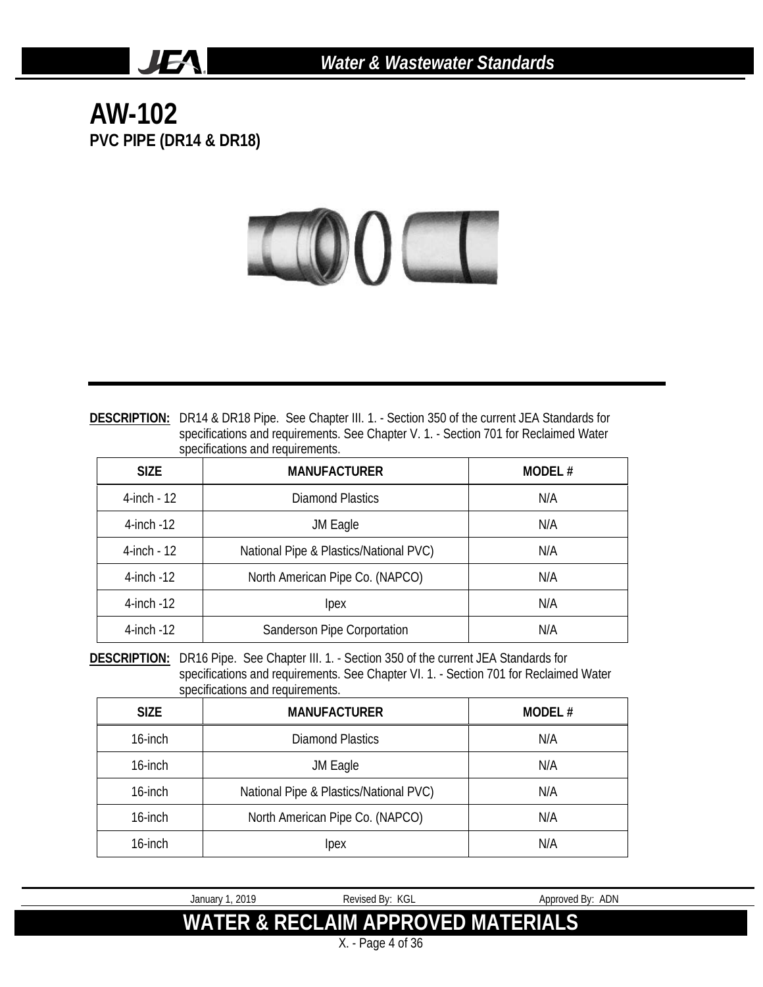**AW-102 PVC PIPE (DR14 & DR18)**

**JEA** 



**DESCRIPTION:** DR14 & DR18 Pipe. See Chapter III. 1. - Section 350 of the current JEA Standards for specifications and requirements. See Chapter V. 1. - Section 701 for Reclaimed Water specifications and requirements.

| <b>SIZE</b>     | <b>MANUFACTURER</b>                    | <b>MODEL#</b> |
|-----------------|----------------------------------------|---------------|
| $4$ -inch - 12  | Diamond Plastics                       | N/A           |
| $4$ -inch $-12$ | JM Eagle                               | N/A           |
| $4$ -inch - 12  | National Pipe & Plastics/National PVC) | N/A           |
| $4$ -inch $-12$ | North American Pipe Co. (NAPCO)        | N/A           |
| $4$ -inch $-12$ | lpex                                   | N/A           |
| $4$ -inch $-12$ | Sanderson Pipe Corportation            | N/A           |

**DESCRIPTION:** DR16 Pipe. See Chapter III. 1. - Section 350 of the current JEA Standards for specifications and requirements. See Chapter VI. 1. - Section 701 for Reclaimed Water specifications and requirements.

| <b>SIZE</b> | <b>MANUFACTURER</b>                    | MODEL# |
|-------------|----------------------------------------|--------|
| 16-inch     | <b>Diamond Plastics</b>                | N/A    |
| 16-inch     | JM Eagle                               | N/A    |
| 16-inch     | National Pipe & Plastics/National PVC) | N/A    |
| 16-inch     | North American Pipe Co. (NAPCO)        | N/A    |
| 16-inch     | lpex                                   | N/A    |

January 1, 2019 **Revised By: KGL** Approved By: ADN

**WATER & RECLAIM APPROVED MATERIALS** X. - Page 4 of 36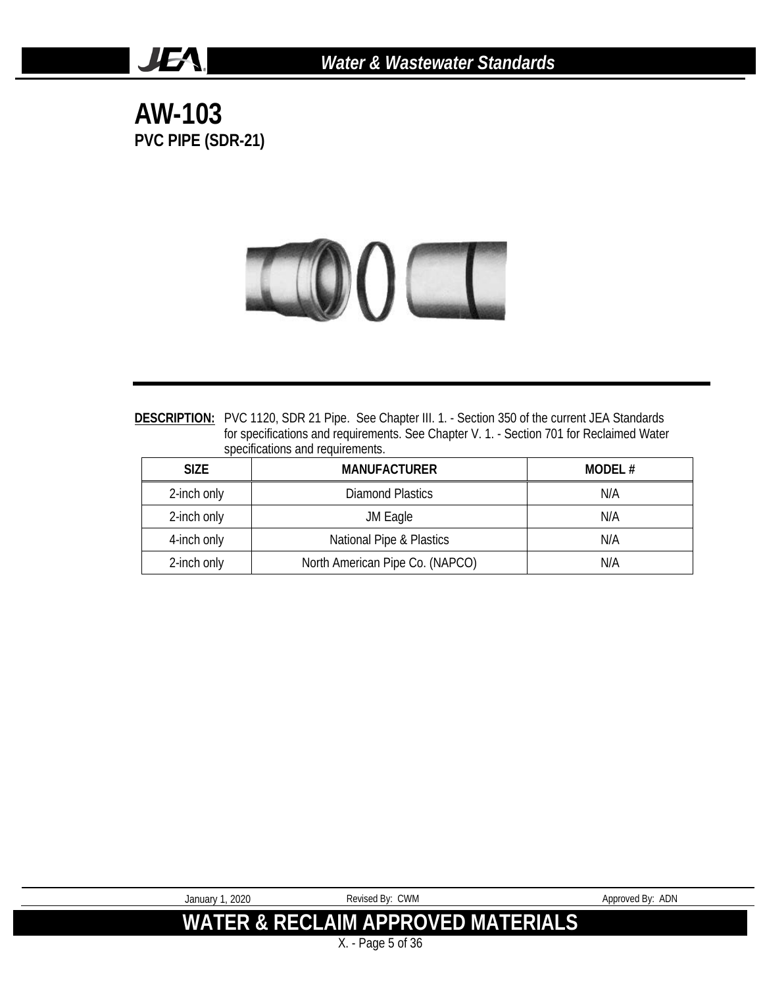**AW-103 PVC PIPE (SDR-21)**

**JEA** 



**DESCRIPTION:** PVC 1120, SDR 21 Pipe. See Chapter III. 1. - Section 350 of the current JEA Standards for specifications and requirements. See Chapter V. 1. - Section 701 for Reclaimed Water specifications and requirements.

| <b>SIZE</b> | <b>MANUFACTURER</b>             | MODEL $#$ |
|-------------|---------------------------------|-----------|
| 2-inch only | Diamond Plastics                | N/A       |
| 2-inch only | JM Eagle                        | N/A       |
| 4-inch only | National Pipe & Plastics        | N/A       |
| 2-inch only | North American Pipe Co. (NAPCO) | N/A       |

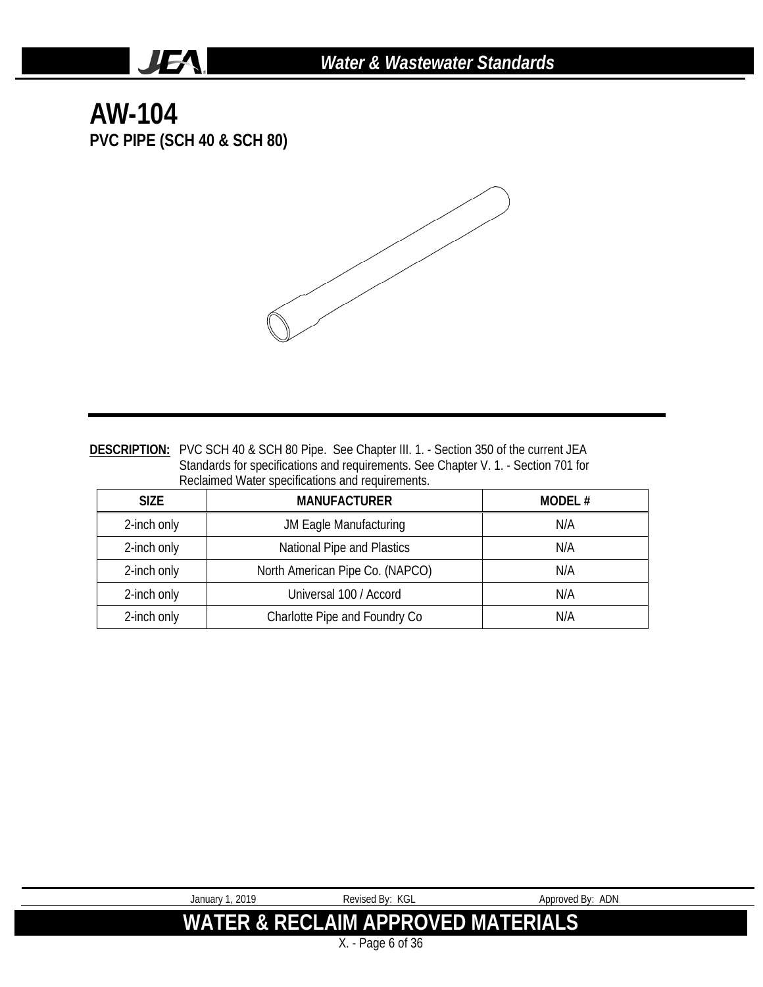**AW-104 PVC PIPE (SCH 40 & SCH 80)**

JEA.



| <b>DESCRIPTION:</b> PVC SCH 40 & SCH 80 Pipe. See Chapter III. 1. - Section 350 of the current JEA |
|----------------------------------------------------------------------------------------------------|
| Standards for specifications and requirements. See Chapter V. 1. - Section 701 for                 |
| Reclaimed Water specifications and requirements.                                                   |

| <b>SIZE</b> | <b>MANUFACTURER</b>             | MODEL# |
|-------------|---------------------------------|--------|
| 2-inch only | JM Eagle Manufacturing          | N/A    |
| 2-inch only | National Pipe and Plastics      | N/A    |
| 2-inch only | North American Pipe Co. (NAPCO) | N/A    |
| 2-inch only | Universal 100 / Accord          | N/A    |
| 2-inch only | Charlotte Pipe and Foundry Co   | N/A    |

|                                               | January 1, 2019 | Revised By: KGL     | Approved By: ADN |
|-----------------------------------------------|-----------------|---------------------|------------------|
| <b>WATER &amp; RECLAIM APPROVED MATERIALS</b> |                 |                     |                  |
|                                               |                 | $X. - Page 6 of 36$ |                  |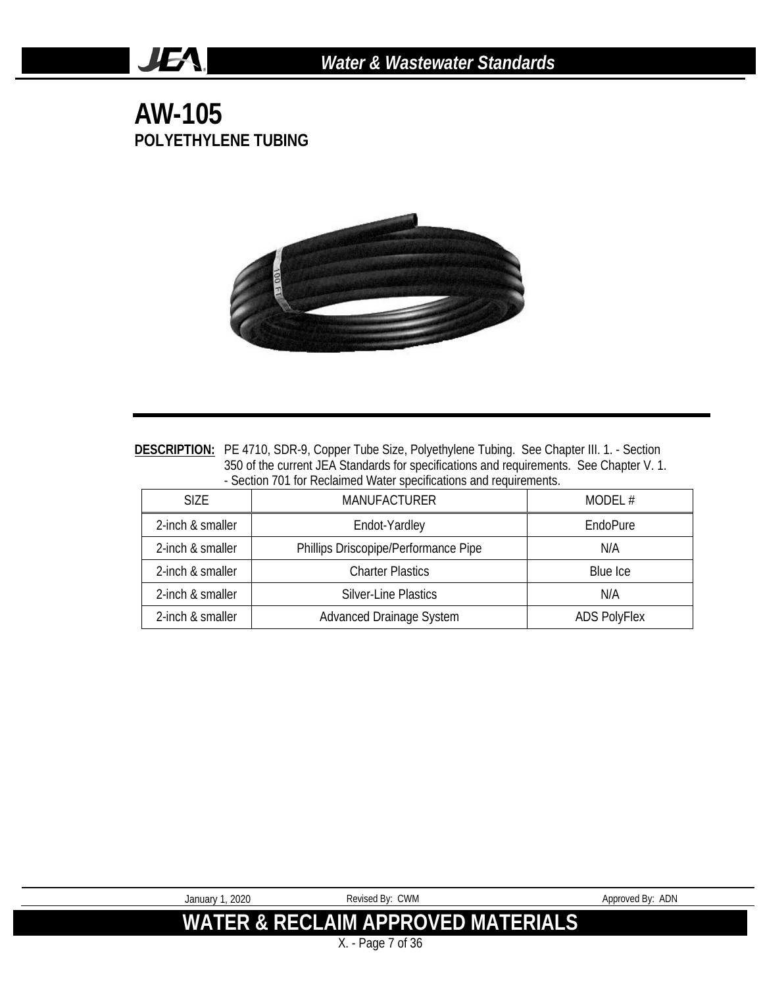### **AW-105 POLYETHYLENE TUBING**

**JEA** 



DESCRIPTION: PE 4710, SDR-9, Copper Tube Size, Polyethylene Tubing. See Chapter III. 1. - Section 350 of the current JEA Standards for specifications and requirements. See Chapter V. 1. - Section 701 for Reclaimed Water specifications and requirements.

| <b>SIZE</b>      | <b>MANUFACTURER</b>                  | MODEL $#$           |
|------------------|--------------------------------------|---------------------|
| 2-inch & smaller | Endot-Yardley                        | EndoPure            |
| 2-inch & smaller | Phillips Driscopipe/Performance Pipe | N/A                 |
| 2-inch & smaller | <b>Charter Plastics</b>              | Blue Ice            |
| 2-inch & smaller | <b>Silver-Line Plastics</b>          | N/A                 |
| 2-inch & smaller | <b>Advanced Drainage System</b>      | <b>ADS PolyFlex</b> |

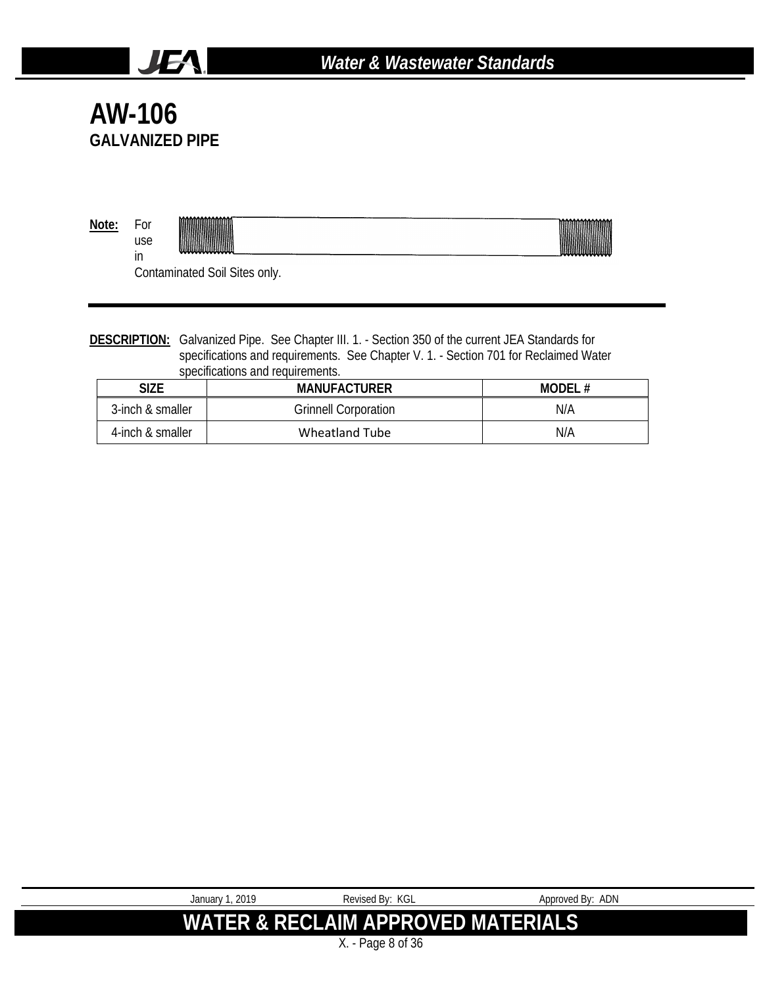### **AW-106 GALVANIZED PIPE**

**Note:** For





Contaminated Soil Sites only.

DESCRIPTION: Galvanized Pipe. See Chapter III. 1. - Section 350 of the current JEA Standards for specifications and requirements. See Chapter V. 1. - Section 701 for Reclaimed Water specifications and requirements.

| SI7F             | <b>MANUFACTURER</b>         | MODEL $#$ |
|------------------|-----------------------------|-----------|
| 3-inch & smaller | <b>Grinnell Corporation</b> | N/A       |
| 4-inch & smaller | Wheatland Tube              | N/A       |

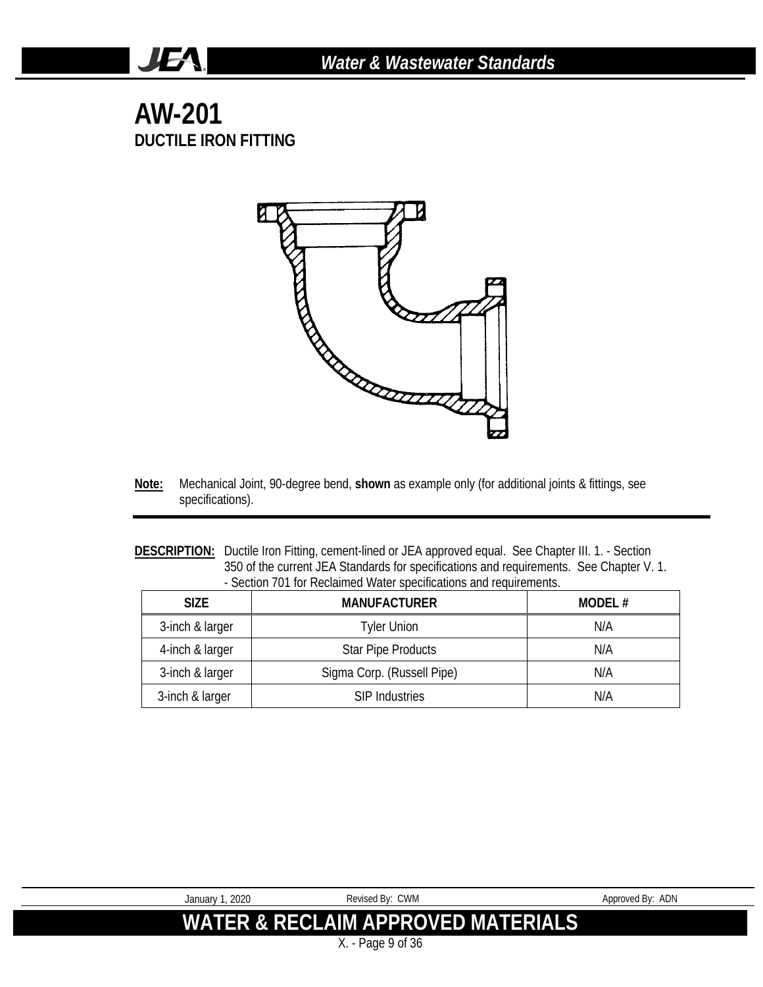#### **AW-201 DUCTILE IRON FITTING**

JEA.



**Note:** Mechanical Joint, 90-degree bend, **shown** as example only (for additional joints & fittings, see specifications).

**DESCRIPTION:** Ductile Iron Fitting, cement-lined or JEA approved equal. See Chapter III. 1. - Section 350 of the current JEA Standards for specifications and requirements. See Chapter V. 1. - Section 701 for Reclaimed Water specifications and requirements.

| <b>SIZE</b>     | <b>MANUFACTURER</b>        | MODEL# |
|-----------------|----------------------------|--------|
| 3-inch & larger | <b>Tyler Union</b>         | N/A    |
| 4-inch & larger | <b>Star Pipe Products</b>  | N/A    |
| 3-inch & larger | Sigma Corp. (Russell Pipe) | N/A    |
| 3-inch & larger | <b>SIP Industries</b>      | N/A    |

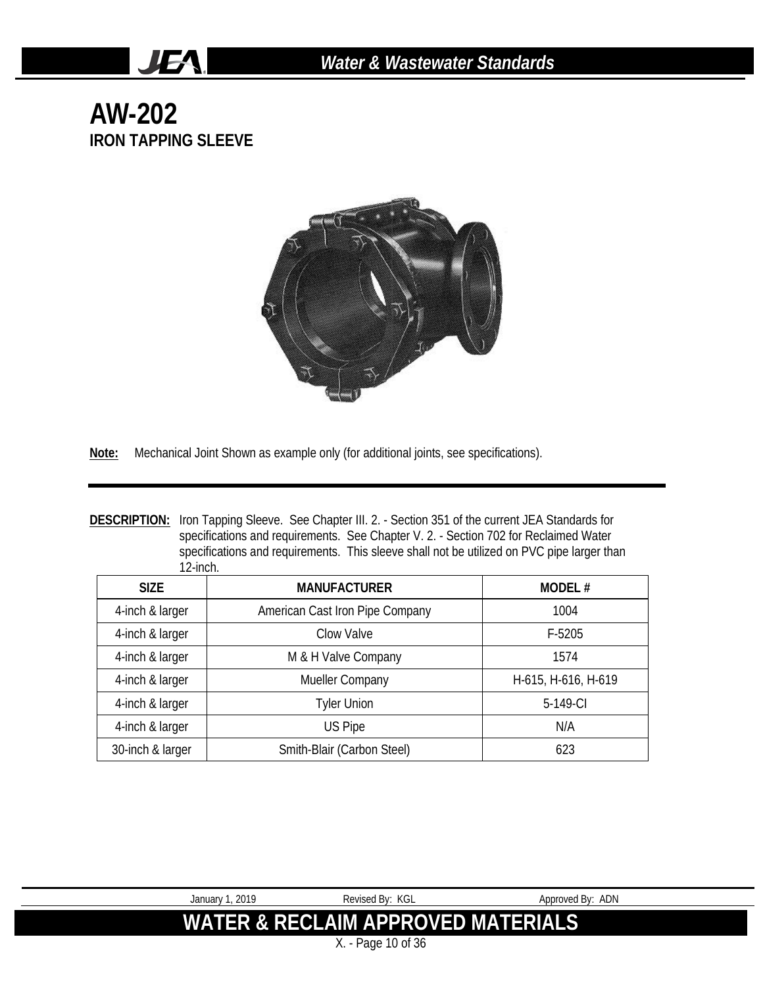# **AW-202 IRON TAPPING SLEEVE**

JEA.



**Note:** Mechanical Joint Shown as example only (for additional joints, see specifications).

| <b>DESCRIPTION:</b> Iron Tapping Sleeve. See Chapter III. 2. - Section 351 of the current JEA Standards for |
|-------------------------------------------------------------------------------------------------------------|
| specifications and requirements. See Chapter V. 2. - Section 702 for Reclaimed Water                        |
| specifications and requirements. This sleeve shall not be utilized on PVC pipe larger than                  |
| $12$ -inch.                                                                                                 |

| <b>SIZE</b>      | <b>MANUFACTURER</b>             | <b>MODEL#</b>       |
|------------------|---------------------------------|---------------------|
| 4-inch & larger  | American Cast Iron Pipe Company | 1004                |
| 4-inch & larger  | Clow Valve                      | F-5205              |
| 4-inch & larger  | M & H Valve Company             | 1574                |
| 4-inch & larger  | <b>Mueller Company</b>          | H-615, H-616, H-619 |
| 4-inch & larger  | <b>Tyler Union</b>              | $5-149-CI$          |
| 4-inch & larger  | US Pipe                         | N/A                 |
| 30-inch & larger | Smith-Blair (Carbon Steel)      | 623                 |

| January 1, 2019 | Revised By: KGL                     | Approved By: ADN |
|-----------------|-------------------------------------|------------------|
|                 | WATER & RECLAIM APPROVED MATERIALS! |                  |
|                 | .                                   |                  |

X. - Page 10 of 36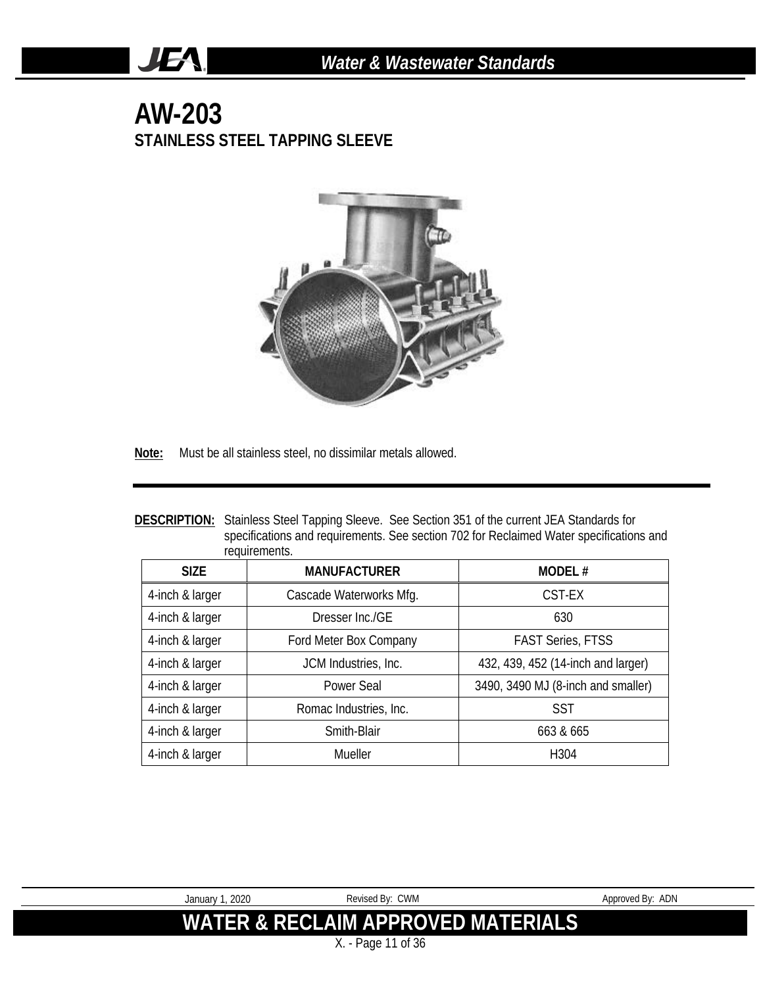# **AW-203 STAINLESS STEEL TAPPING SLEEVE**

**JEA** 



**Note:** Must be all stainless steel, no dissimilar metals allowed.

| <b>DESCRIPTION:</b> Stainless Steel Tapping Sleeve. See Section 351 of the current JEA Standards for |
|------------------------------------------------------------------------------------------------------|
| specifications and requirements. See section 702 for Reclaimed Water specifications and              |
| requirements.                                                                                        |

| <b>SIZE</b>     | <b>MANUFACTURER</b>     | <b>MODEL#</b>                      |
|-----------------|-------------------------|------------------------------------|
| 4-inch & larger | Cascade Waterworks Mfg. | CST-EX                             |
| 4-inch & larger | Dresser Inc./GE         | 630                                |
| 4-inch & larger | Ford Meter Box Company  | <b>FAST Series, FTSS</b>           |
| 4-inch & larger | JCM Industries, Inc.    | 432, 439, 452 (14-inch and larger) |
| 4-inch & larger | <b>Power Seal</b>       | 3490, 3490 MJ (8-inch and smaller) |
| 4-inch & larger | Romac Industries, Inc.  | <b>SST</b>                         |
| 4-inch & larger | Smith-Blair             | 663 & 665                          |
| 4-inch & larger | Mueller                 | H304                               |

| January 1, 2020 | Revised By: CWM                    | Approved By: ADN |
|-----------------|------------------------------------|------------------|
|                 | WATER & RECLAIM APPROVED MATERIALS |                  |
|                 | X. - Page 11 of 36                 |                  |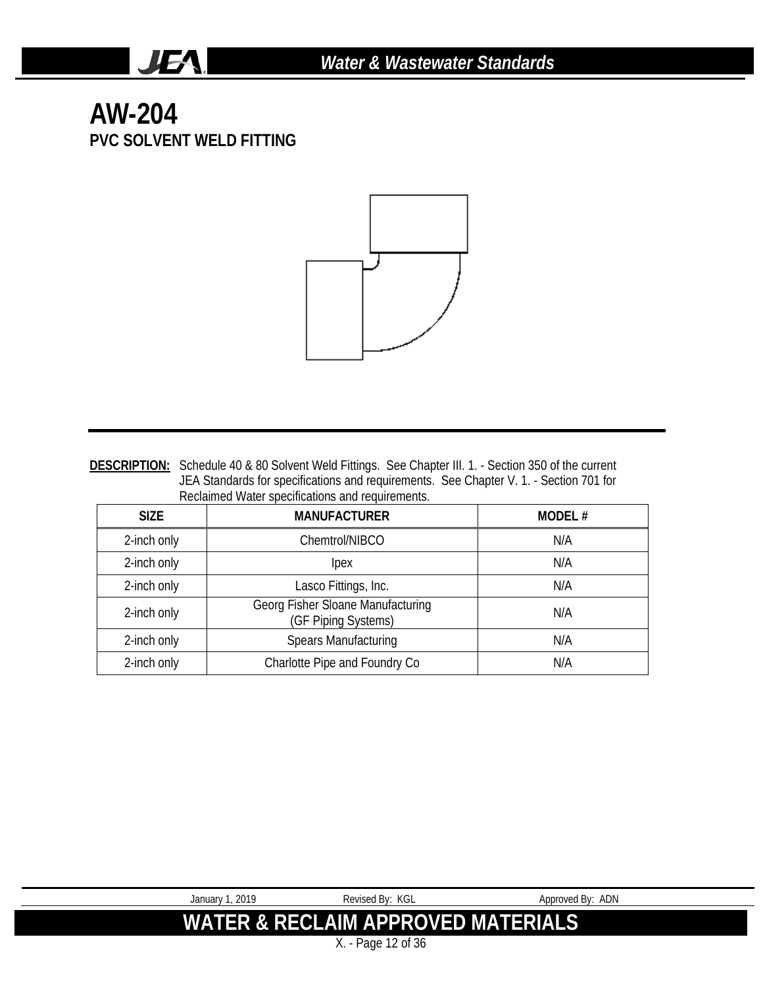# **AW-204 PVC SOLVENT WELD FITTING**

JEA.



**DESCRIPTION:** Schedule 40 & 80 Solvent Weld Fittings. See Chapter III. 1. - Section 350 of the current JEA Standards for specifications and requirements. See Chapter V. 1. - Section 701 for Reclaimed Water specifications and requirements.

| <b>SIZE</b> | <b>MANUFACTURER</b>                                      | MODEL $#$ |
|-------------|----------------------------------------------------------|-----------|
| 2-inch only | Chemtrol/NIBCO                                           | N/A       |
| 2-inch only | lpex                                                     | N/A       |
| 2-inch only | Lasco Fittings, Inc.                                     | N/A       |
| 2-inch only | Georg Fisher Sloane Manufacturing<br>(GF Piping Systems) | N/A       |
| 2-inch only | <b>Spears Manufacturing</b>                              | N/A       |
| 2-inch only | Charlotte Pipe and Foundry Co                            | N/A       |



X. - Page 12 of 36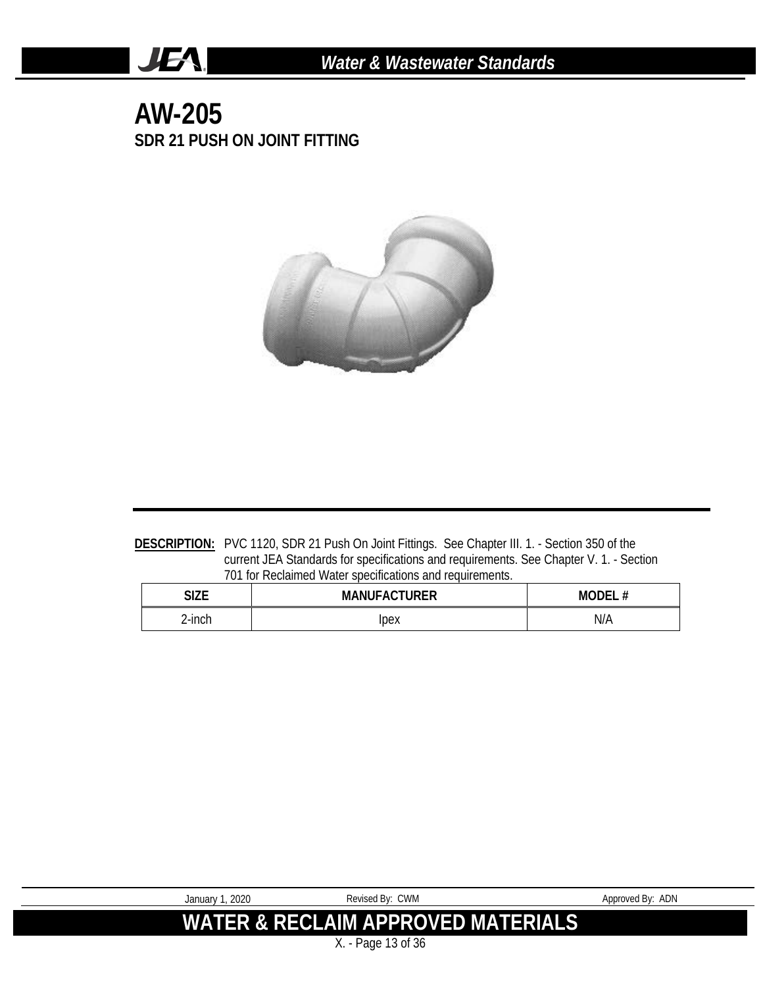### **AW-205 SDR 21 PUSH ON JOINT FITTING**

**JEA** 



**DESCRIPTION:** PVC 1120, SDR 21 Push On Joint Fittings. See Chapter III. 1. - Section 350 of the current JEA Standards for specifications and requirements. See Chapter V. 1. - Section 701 for Reclaimed Water specifications and requirements.

| <b>CI75</b><br>SILE          | Turer:<br><b>MANUFAC</b> | M<br>. .<br>℩∟ |
|------------------------------|--------------------------|----------------|
| $\sim$<br>2-inch<br><u>.</u> | lpex                     | N/A            |

| January 1, 2020 | Revised By: CWM                    | Approved By: ADN |
|-----------------|------------------------------------|------------------|
|                 | WATER & RECLAIM APPROVED MATERIALS |                  |
|                 | X. - Page 13 of 36                 |                  |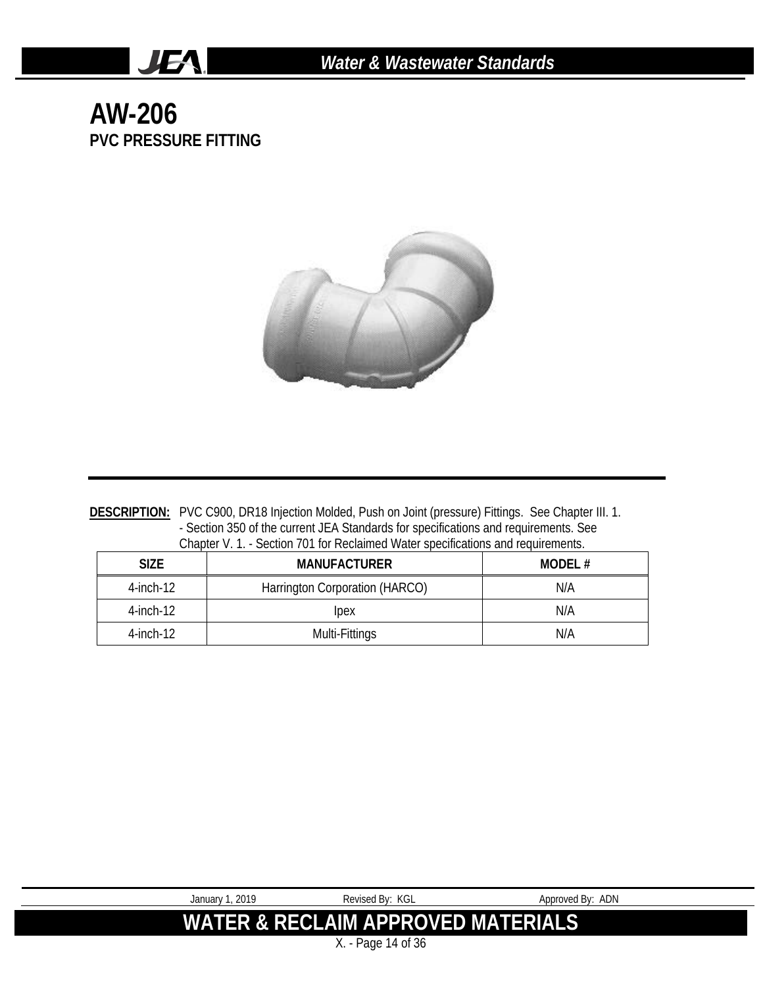# **AW-206 PVC PRESSURE FITTING**

JEA.



**DESCRIPTION:** PVC C900, DR18 Injection Molded, Push on Joint (pressure) Fittings. See Chapter III. 1. - Section 350 of the current JEA Standards for specifications and requirements. See Chapter V. 1. - Section 701 for Reclaimed Water specifications and requirements.

| <b>SIZE</b>  | <b>MANUFACTURER</b>            | MODEL $#$ |
|--------------|--------------------------------|-----------|
| 4-inch-12    | Harrington Corporation (HARCO) | N/A       |
| $4$ -inch-12 | lpex                           | N/A       |
| $4$ -inch-12 | Multi-Fittings                 | N/A       |

| January 1, 2019                    | Revised By: KGL    | Approved By: ADN |  |  |
|------------------------------------|--------------------|------------------|--|--|
|                                    |                    |                  |  |  |
| WATER & RECLAIM APPROVED MATERIALS |                    |                  |  |  |
|                                    |                    |                  |  |  |
|                                    | X. - Page 14 of 36 |                  |  |  |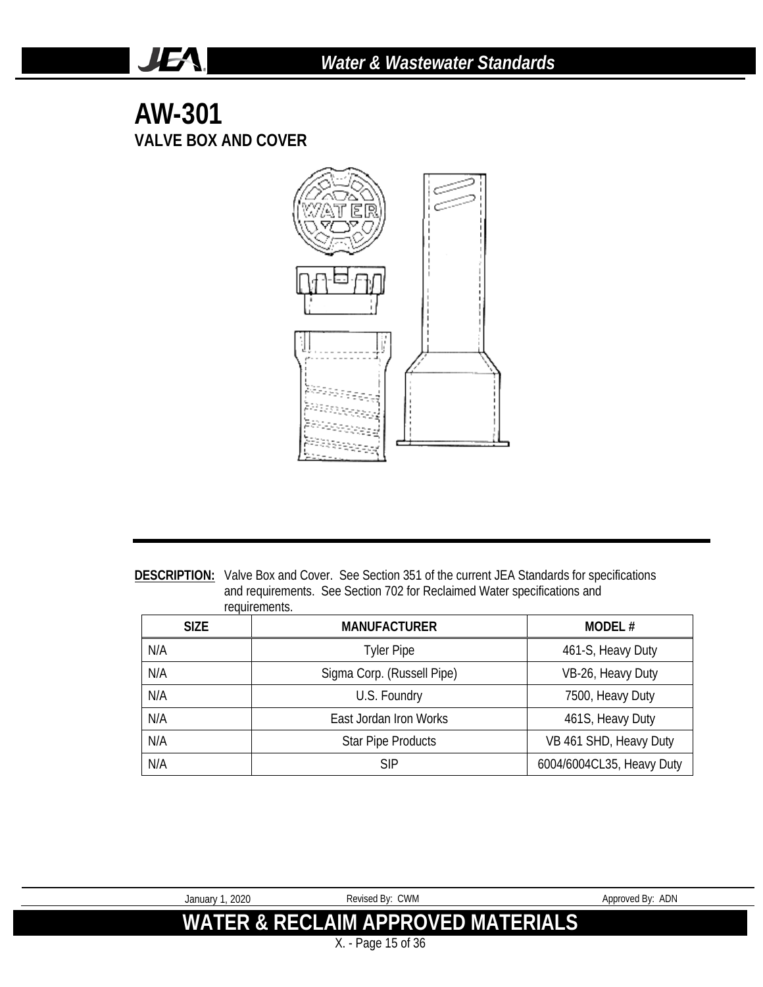### **AW-301 VALVE BOX AND COVER**

JEA.



**DESCRIPTION:** Valve Box and Cover. See Section 351 of the current JEA Standards for specifications and requirements. See Section 702 for Reclaimed Water specifications and requirements.

| <b>SIZE</b> | <b>MANUFACTURER</b>        | MODEL#                    |
|-------------|----------------------------|---------------------------|
| N/A         | <b>Tyler Pipe</b>          | 461-S, Heavy Duty         |
| N/A         | Sigma Corp. (Russell Pipe) | VB-26, Heavy Duty         |
| N/A         | U.S. Foundry               | 7500, Heavy Duty          |
| N/A         | East Jordan Iron Works     | 461S, Heavy Duty          |
| N/A         | <b>Star Pipe Products</b>  | VB 461 SHD, Heavy Duty    |
| N/A         | <b>SIP</b>                 | 6004/6004CL35, Heavy Duty |

| 2020<br>Januarv 1 | Revised By: CWM                    | Approved By: ADN |
|-------------------|------------------------------------|------------------|
|                   | WATER & RECLAIM APPROVED MATERIALS |                  |

X. - Page 15 of 36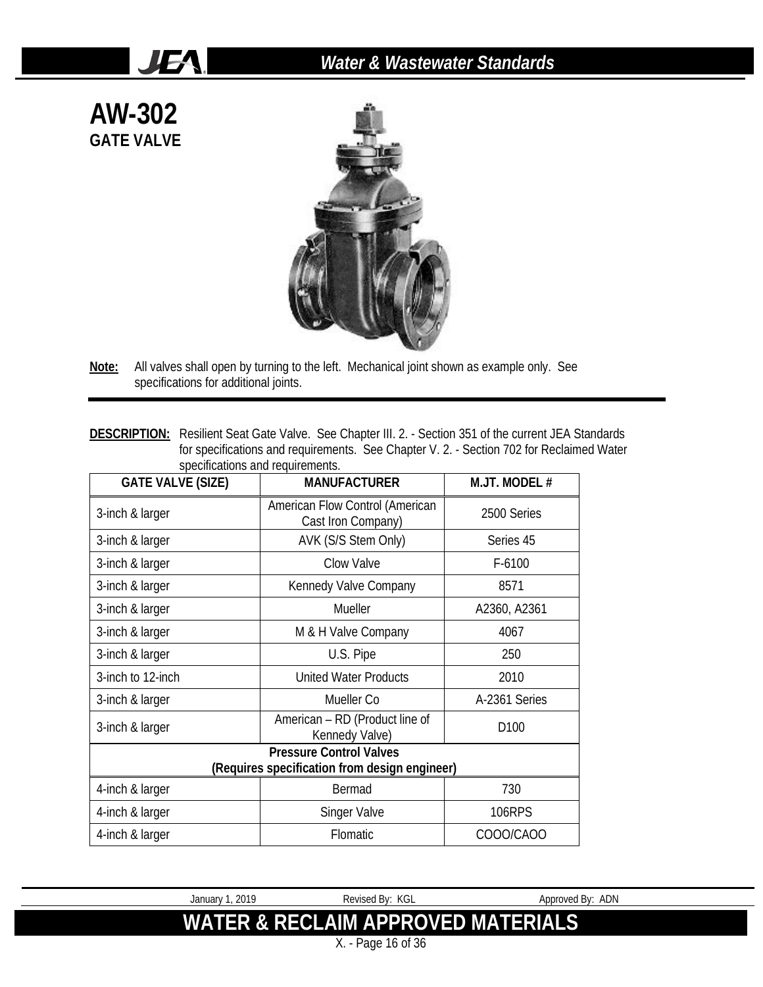#### *Water & Wastewater Standards*

# **AW-302 GATE VALVE**

**JEA** 



- **Note:** All valves shall open by turning to the left. Mechanical joint shown as example only. See specifications for additional joints.
- DESCRIPTION: Resilient Seat Gate Valve. See Chapter III. 2. Section 351 of the current JEA Standards for specifications and requirements. See Chapter V. 2. - Section 702 for Reclaimed Water specifications and requirements.

| <b>GATE VALVE (SIZE)</b>                      | <b>MANUFACTURER</b>                                   | M.JT. MODEL #    |  |
|-----------------------------------------------|-------------------------------------------------------|------------------|--|
| 3-inch & larger                               | American Flow Control (American<br>Cast Iron Company) | 2500 Series      |  |
| 3-inch & larger                               | AVK (S/S Stem Only)                                   | Series 45        |  |
| 3-inch & larger                               | Clow Valve                                            | $F-6100$         |  |
| 3-inch & larger                               | Kennedy Valve Company                                 | 8571             |  |
| 3-inch & larger                               | Mueller                                               | A2360, A2361     |  |
| 3-inch & larger                               | M & H Valve Company                                   | 4067             |  |
| 3-inch & larger                               | U.S. Pipe                                             | 250              |  |
| 3-inch to 12-inch                             | <b>United Water Products</b>                          | 2010             |  |
| 3-inch & larger                               | Mueller Co                                            | A-2361 Series    |  |
| 3-inch & larger                               | American - RD (Product line of<br>Kennedy Valve)      | D <sub>100</sub> |  |
| <b>Pressure Control Valves</b>                |                                                       |                  |  |
| (Requires specification from design engineer) |                                                       |                  |  |
| 4-inch & larger                               | Bermad                                                | 730              |  |
| 4-inch & larger                               | <b>Singer Valve</b>                                   | <b>106RPS</b>    |  |
| 4-inch & larger                               | Flomatic                                              | COOO/CAOO        |  |

January 1, 2019 **Revised By: KGL** Approved By: ADN

**WATER & RECLAIM APPROVED MATERIALS** X. - Page 16 of 36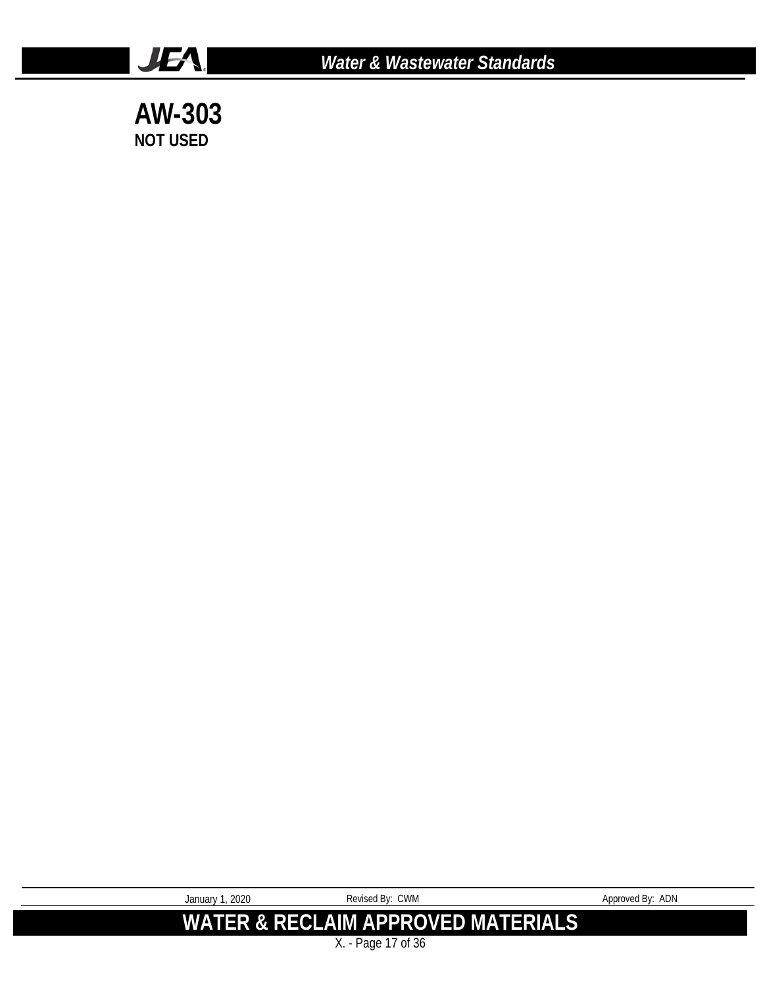

#### **AW-303 NOT USED**

**JEA** 

January 1, 2020 Revised By: CWM Revised By: CWM Approved By: ADN **WATER & RECLAIM APPROVED MATERIALS**

X. - Page 17 of 36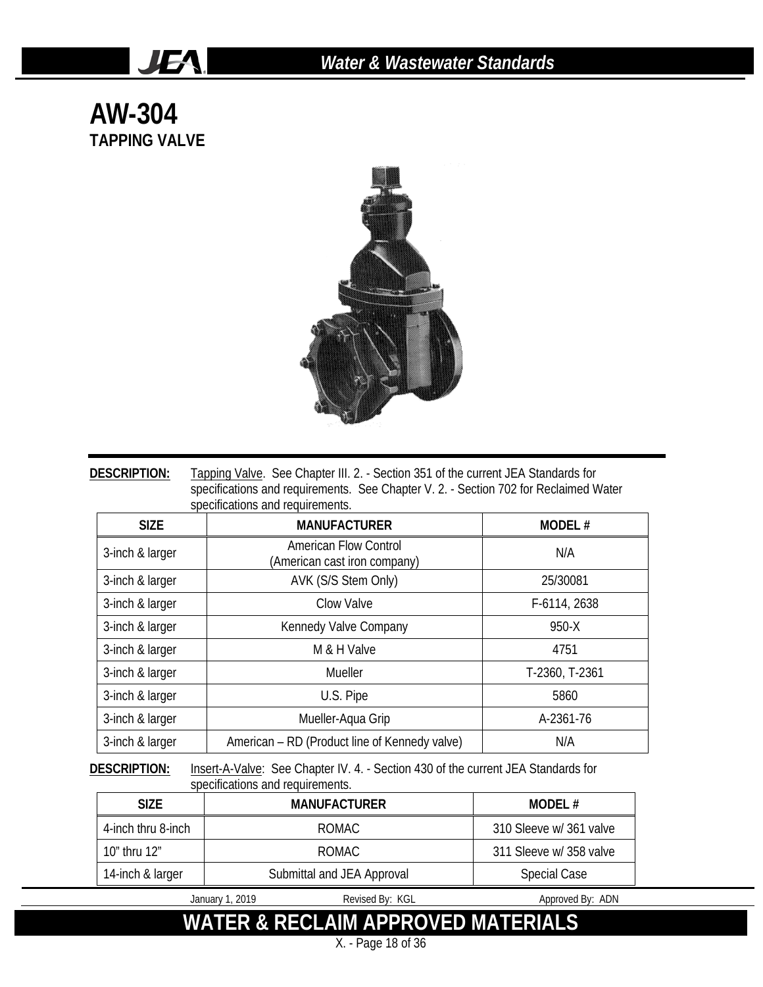# **AW-304 TAPPING VALVE**

**JEA** 



| DESCRIPTION: | Tapping Valve. See Chapter III. 2. - Section 351 of the current JEA Standards for    |
|--------------|--------------------------------------------------------------------------------------|
|              | specifications and requirements. See Chapter V. 2. - Section 702 for Reclaimed Water |
|              | specifications and requirements.                                                     |

| <b>SIZE</b>     | <b>MANUFACTURER</b>                                          | <b>MODEL#</b>  |
|-----------------|--------------------------------------------------------------|----------------|
| 3-inch & larger | <b>American Flow Control</b><br>(American cast iron company) | N/A            |
| 3-inch & larger | AVK (S/S Stem Only)                                          | 25/30081       |
| 3-inch & larger | Clow Valve                                                   | F-6114, 2638   |
| 3-inch & larger | Kennedy Valve Company                                        | 950-X          |
| 3-inch & larger | M & H Valve                                                  | 4751           |
| 3-inch & larger | Mueller                                                      | T-2360, T-2361 |
| 3-inch & larger | U.S. Pipe                                                    | 5860           |
| 3-inch & larger | Mueller-Aqua Grip                                            | A-2361-76      |
| 3-inch & larger | American – RD (Product line of Kennedy valve)                | N/A            |

**DESCRIPTION:** Insert-A-Valve: See Chapter IV. 4. - Section 430 of the current JEA Standards for specifications and requirements.

| <b>SIZE</b>        |                            | <b>MANUFACTURER</b> | MODEL $#$               |
|--------------------|----------------------------|---------------------|-------------------------|
| 4-inch thru 8-inch |                            | ROMAC.              | 310 Sleeve w/ 361 valve |
| 10" thru 12"       |                            | ROMAC.              | 311 Sleeve w/ 358 valve |
| 14-inch & larger   | Submittal and JEA Approval |                     | <b>Special Case</b>     |
|                    | January 1, 2019            | Revised By: KGL     | Approved By: ADN        |

# **WATER & RECLAIM APPROVED MATERIALS**

X. - Page 18 of 36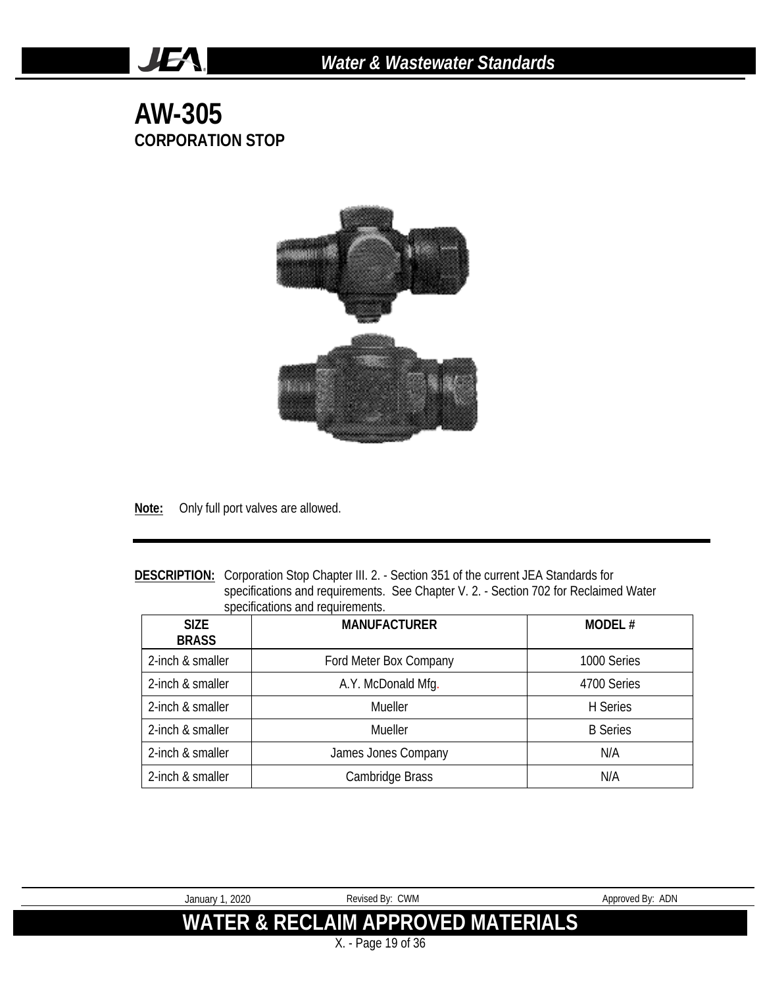#### **AW-305 CORPORATION STOP**

**JEA** 



**Note:** Only full port valves are allowed.

**DESCRIPTION:** Corporation Stop Chapter III. 2. - Section 351 of the current JEA Standards for specifications and requirements. See Chapter V. 2. - Section 702 for Reclaimed Water specifications and requirements.

| <b>SIZE</b><br><b>BRASS</b> | <b>MANUFACTURER</b>    | MODEL#          |
|-----------------------------|------------------------|-----------------|
| 2-inch & smaller            | Ford Meter Box Company | 1000 Series     |
| 2-inch & smaller            | A.Y. McDonald Mfg.     | 4700 Series     |
| 2-inch & smaller            | Mueller                | H Series        |
| 2-inch & smaller            | Mueller                | <b>B</b> Series |
| 2-inch & smaller            | James Jones Company    | N/A             |
| 2-inch & smaller            | Cambridge Brass        | N/A             |

| . 2020<br>January 1 | Revised By: CWM                    | Approved By: ADN |
|---------------------|------------------------------------|------------------|
|                     | WATER & RECLAIM APPROVED MATERIALS |                  |

X. - Page 19 of 36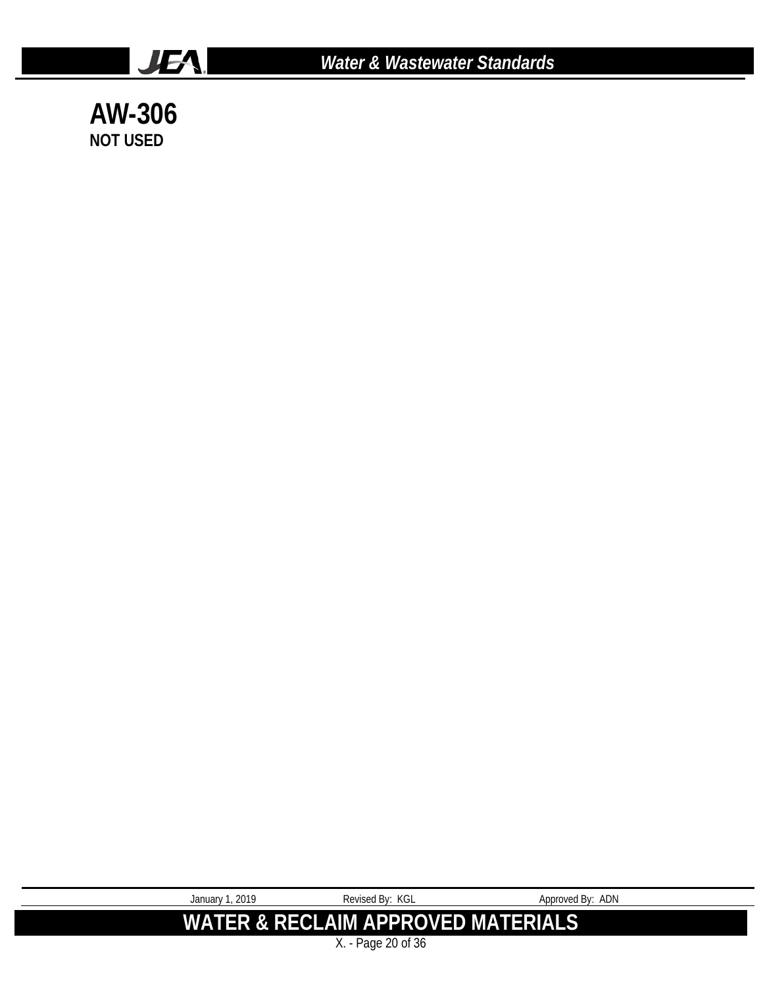

*Water & Wastewater Standards*

**AW-306 NOT USED** 

January 1, 2019 **Revised By: KGL** Approved By: ADN **WATER & RECLAIM APPROVED MATERIALS** X. - Page 20 of 36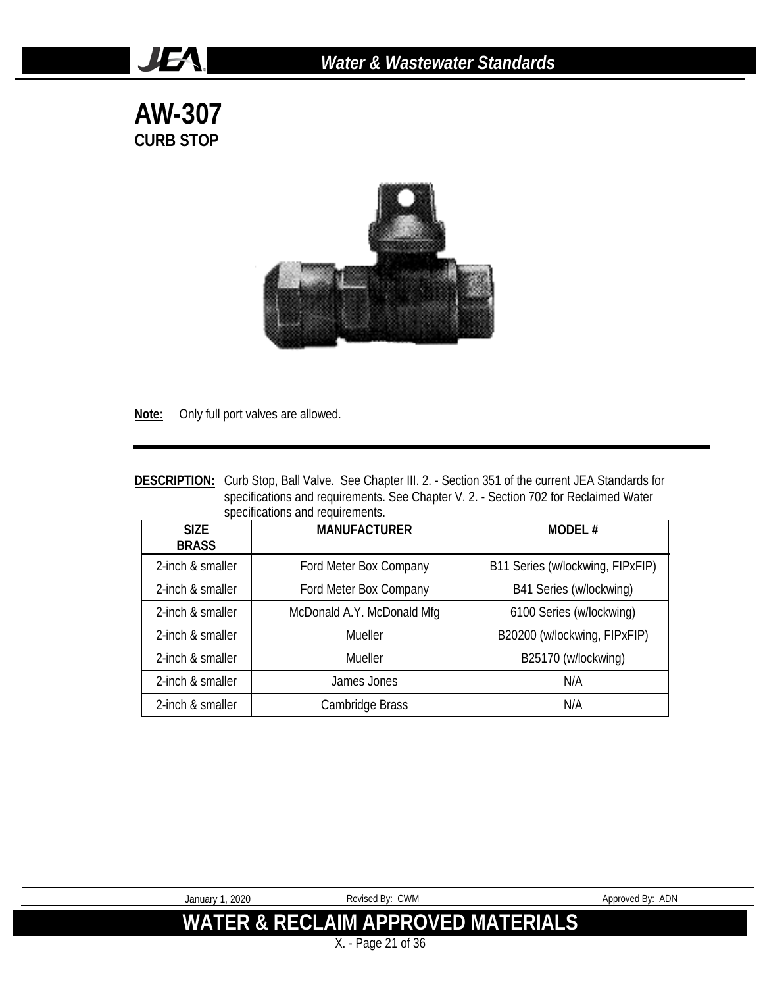**AW-307 CURB STOP**

**JEA** 



**Note:** Only full port valves are allowed.

| <b>DESCRIPTION:</b> Curb Stop, Ball Valve. See Chapter III. 2. - Section 351 of the current JEA Standards for |
|---------------------------------------------------------------------------------------------------------------|
| specifications and requirements. See Chapter V. 2. - Section 702 for Reclaimed Water                          |
| specifications and requirements.                                                                              |

| <b>SIZE</b><br><b>BRASS</b> | <b>MANUFACTURER</b>        | MODEL#                           |
|-----------------------------|----------------------------|----------------------------------|
| 2-inch & smaller            | Ford Meter Box Company     | B11 Series (w/lockwing, FIPxFIP) |
| 2-inch & smaller            | Ford Meter Box Company     | B41 Series (w/lockwing)          |
| 2-inch & smaller            | McDonald A.Y. McDonald Mfg | 6100 Series (w/lockwing)         |
| 2-inch & smaller            | Mueller                    | B20200 (w/lockwing, FIPxFIP)     |
| 2-inch & smaller            | Mueller                    | B25170 (w/lockwing)              |
| 2-inch & smaller            | James Jones                | N/A                              |
| 2-inch & smaller            | Cambridge Brass            | N/A                              |



X. - Page 21 of 36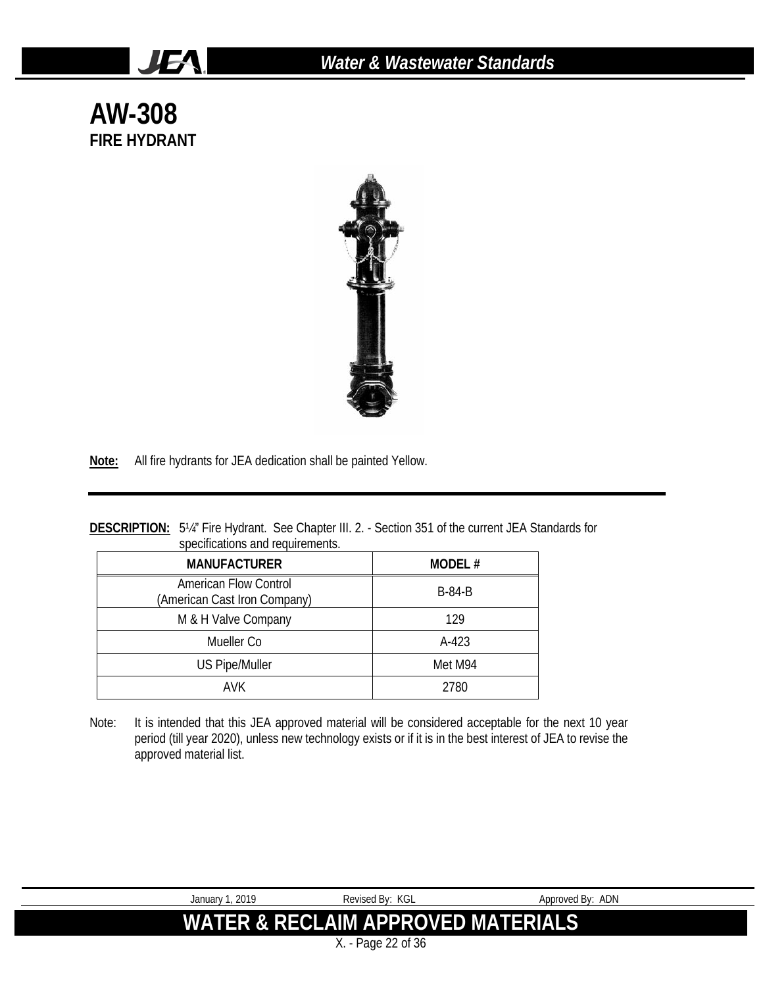# **AW-308 FIRE HYDRANT**

JEA.



**Note:** All fire hydrants for JEA dedication shall be painted Yellow.

| <b>DESCRIPTION:</b> 5¼" Fire Hydrant. See Chapter III. 2. - Section 351 of the current JEA Standards for |  |
|----------------------------------------------------------------------------------------------------------|--|
| specifications and requirements.                                                                         |  |

| <b>MANUFACTURER</b>                                          | MODEL#        |
|--------------------------------------------------------------|---------------|
| <b>American Flow Control</b><br>(American Cast Iron Company) | <b>B-84-B</b> |
| M & H Valve Company                                          | 129           |
| Mueller Co                                                   | A-423         |
| <b>US Pipe/Muller</b>                                        | Met M94       |
| AVK.                                                         | 2780          |

Note: It is intended that this JEA approved material will be considered acceptable for the next 10 year period (till year 2020), unless new technology exists or if it is in the best interest of JEA to revise the approved material list.

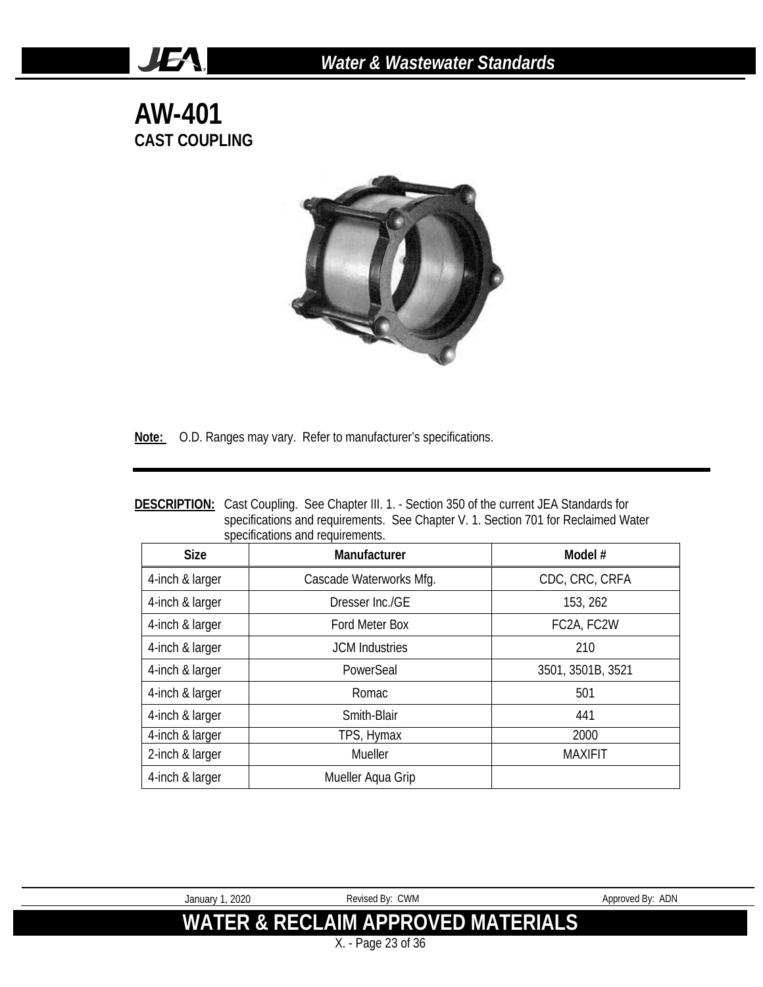**AW-401 CAST COUPLING**

JEA.



**Note:** O.D. Ranges may vary. Refer to manufacturer's specifications.

| <u>DESCRIPTION:</u><br>Cast Coupling. See Chapter III. 1. - Section 350 of the current JEA Standards for<br>specifications and requirements. See Chapter V. 1. Section 701 for Reclaimed Water<br>specifications and requirements. |                         |                   |  |
|------------------------------------------------------------------------------------------------------------------------------------------------------------------------------------------------------------------------------------|-------------------------|-------------------|--|
| <b>Size</b>                                                                                                                                                                                                                        | Manufacturer            | Model #           |  |
| 4-inch & larger                                                                                                                                                                                                                    | Cascade Waterworks Mfg. | CDC, CRC, CRFA    |  |
| 4-inch & larger                                                                                                                                                                                                                    | Dresser Inc./GE         | 153, 262          |  |
| 4-inch & larger                                                                                                                                                                                                                    | <b>Ford Meter Box</b>   | FC2A, FC2W        |  |
| 4-inch & larger                                                                                                                                                                                                                    | <b>JCM</b> Industries   | 210               |  |
| 4-inch & larger                                                                                                                                                                                                                    | PowerSeal               | 3501, 3501B, 3521 |  |
| 4-inch & larger                                                                                                                                                                                                                    | Romac                   | 501               |  |
| 4-inch & larger                                                                                                                                                                                                                    | Smith-Blair             | 441               |  |
| 4-inch & larger                                                                                                                                                                                                                    | TPS, Hymax              | 2000              |  |
| 2-inch & larger                                                                                                                                                                                                                    | Mueller                 | <b>MAXIFIT</b>    |  |
| 4-inch & larger                                                                                                                                                                                                                    | Mueller Aqua Grip       |                   |  |

| January 1, 2020 | Revised By: CWM                    | Approved By: ADN |
|-----------------|------------------------------------|------------------|
|                 |                                    |                  |
|                 | WATER & RECLAIM APPROVED MATERIALS |                  |
|                 |                                    |                  |

X. - Page 23 of 36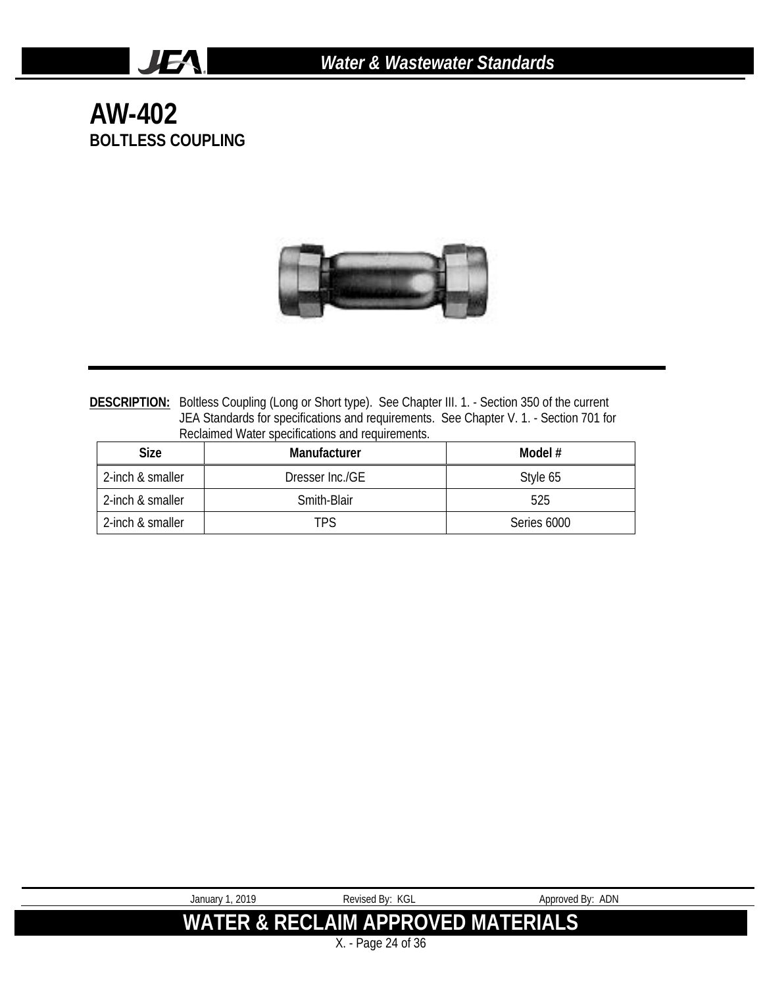**AW-402 BOLTLESS COUPLING**

**JEA** 



DESCRIPTION: Boltless Coupling (Long or Short type). See Chapter III. 1. - Section 350 of the current JEA Standards for specifications and requirements. See Chapter V. 1. - Section 701 for Reclaimed Water specifications and requirements.

| <b>Size</b>      | <b>Manufacturer</b> | Model #     |  |
|------------------|---------------------|-------------|--|
| 2-inch & smaller | Dresser Inc./GE     | Style 65    |  |
| 2-inch & smaller | Smith-Blair         | 525         |  |
| 2-inch & smaller | TPS                 | Series 6000 |  |

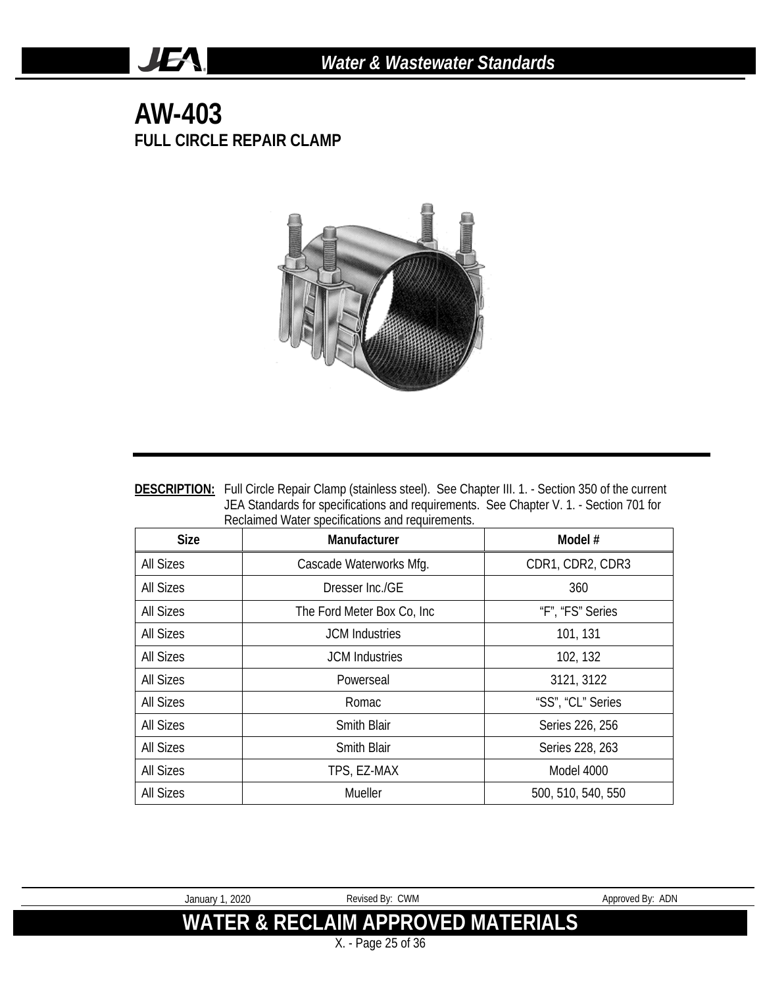# **AW-403 FULL CIRCLE REPAIR CLAMP**

**JEA** 



| Full Circle Repair Clamp (stainless steel). See Chapter III. 1. - Section 350 of the current<br><b>DESCRIPTION:</b><br>JEA Standards for specifications and requirements. See Chapter V. 1. - Section 701 for |                                                  |                    |
|---------------------------------------------------------------------------------------------------------------------------------------------------------------------------------------------------------------|--------------------------------------------------|--------------------|
|                                                                                                                                                                                                               | Reclaimed Water specifications and requirements. |                    |
| <b>Size</b>                                                                                                                                                                                                   | Manufacturer                                     | Model #            |
| <b>All Sizes</b>                                                                                                                                                                                              | Cascade Waterworks Mfg.                          | CDR1, CDR2, CDR3   |
| <b>All Sizes</b>                                                                                                                                                                                              | Dresser Inc./GE                                  | 360                |
| <b>All Sizes</b>                                                                                                                                                                                              | The Ford Meter Box Co, Inc.                      | "F", "FS" Series   |
| <b>All Sizes</b>                                                                                                                                                                                              | <b>JCM</b> Industries                            | 101, 131           |
| <b>All Sizes</b>                                                                                                                                                                                              | <b>JCM</b> Industries                            | 102, 132           |
| <b>All Sizes</b>                                                                                                                                                                                              | Powerseal                                        | 3121, 3122         |
| <b>All Sizes</b>                                                                                                                                                                                              | Romac                                            | "SS", "CL" Series  |
| <b>All Sizes</b>                                                                                                                                                                                              | <b>Smith Blair</b>                               | Series 226, 256    |
| <b>All Sizes</b>                                                                                                                                                                                              | <b>Smith Blair</b>                               | Series 228, 263    |
| <b>All Sizes</b>                                                                                                                                                                                              | TPS, EZ-MAX                                      | Model 4000         |
| <b>All Sizes</b>                                                                                                                                                                                              | Mueller                                          | 500, 510, 540, 550 |

| January 1, 2020 | Revised By: CWM                               | Approved By: ADN |
|-----------------|-----------------------------------------------|------------------|
|                 | <b>WATER &amp; RECLAIM APPROVED MATERIALS</b> |                  |
|                 | X. - Page 25 of 36                            |                  |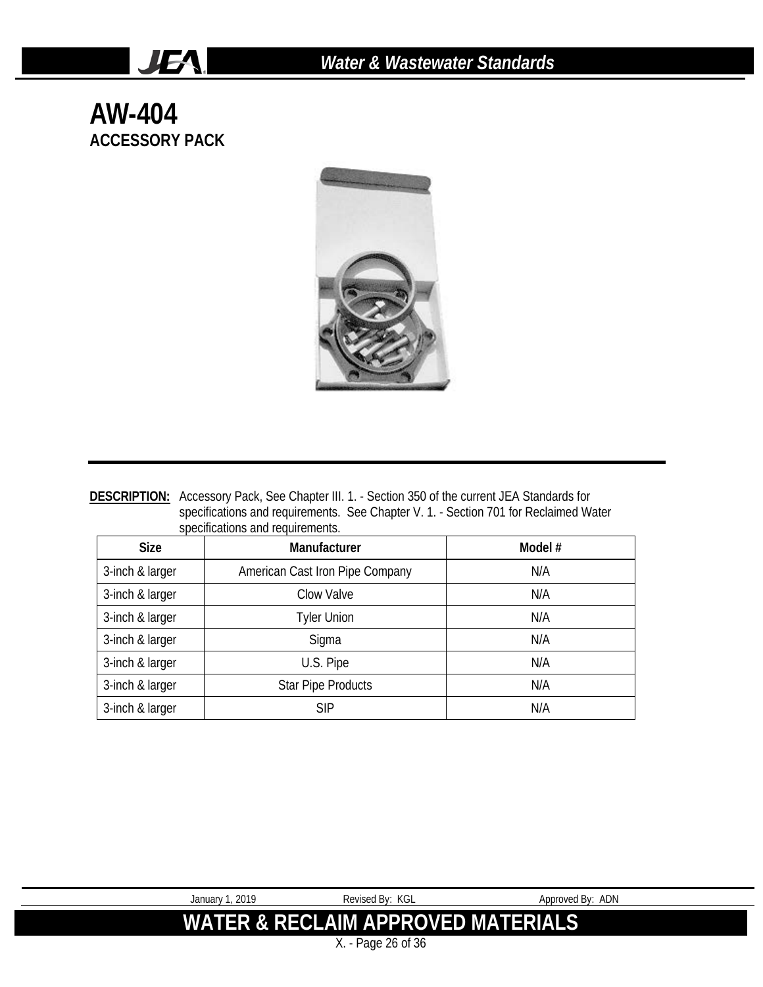**AW-404 ACCESSORY PACK**

JEA.



**DESCRIPTION:** Accessory Pack, See Chapter III. 1. - Section 350 of the current JEA Standards for specifications and requirements. See Chapter V. 1. - Section 701 for Reclaimed Water specifications and requirements.

| <b>Size</b>     | <b>Manufacturer</b>             | Model # |
|-----------------|---------------------------------|---------|
| 3-inch & larger | American Cast Iron Pipe Company | N/A     |
| 3-inch & larger | Clow Valve                      | N/A     |
| 3-inch & larger | <b>Tyler Union</b>              | N/A     |
| 3-inch & larger | Sigma                           | N/A     |
| 3-inch & larger | U.S. Pipe                       | N/A     |
| 3-inch & larger | <b>Star Pipe Products</b>       | N/A     |
| 3-inch & larger | <b>SIP</b>                      | N/A     |

X. - Page 26 of 36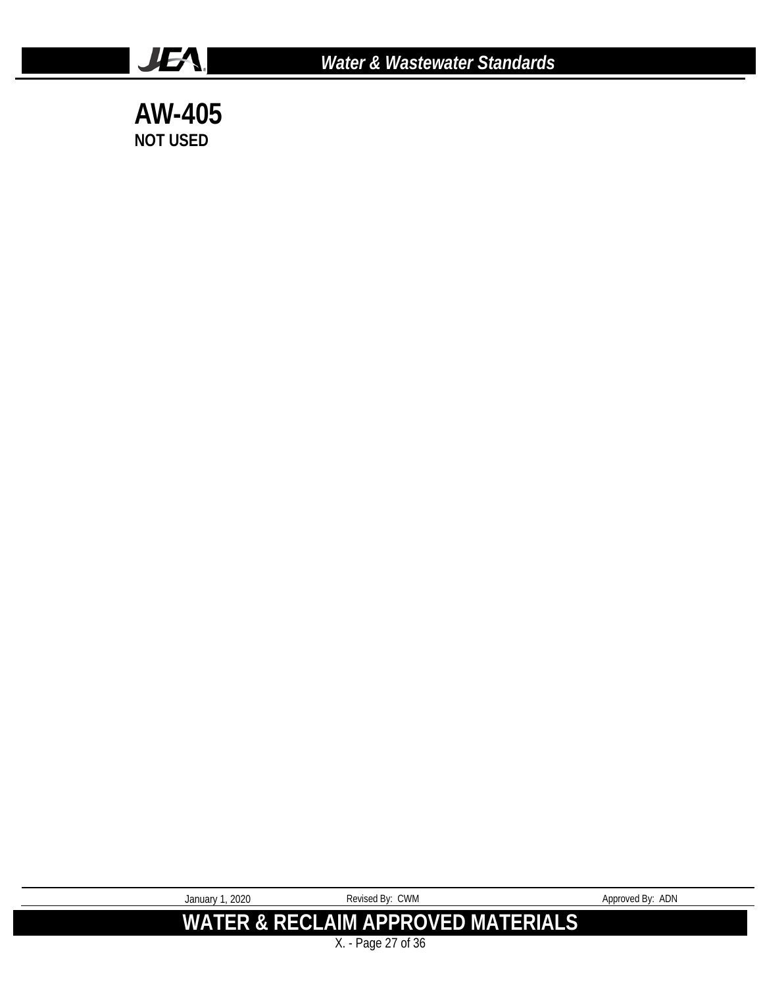#### **AW-405 NOT USED**

**JEA** 

January 1, 2020 Revised By: CWM Revised By: CWM Approved By: ADN **WATER & RECLAIM APPROVED MATERIALS**

X. - Page 27 of 36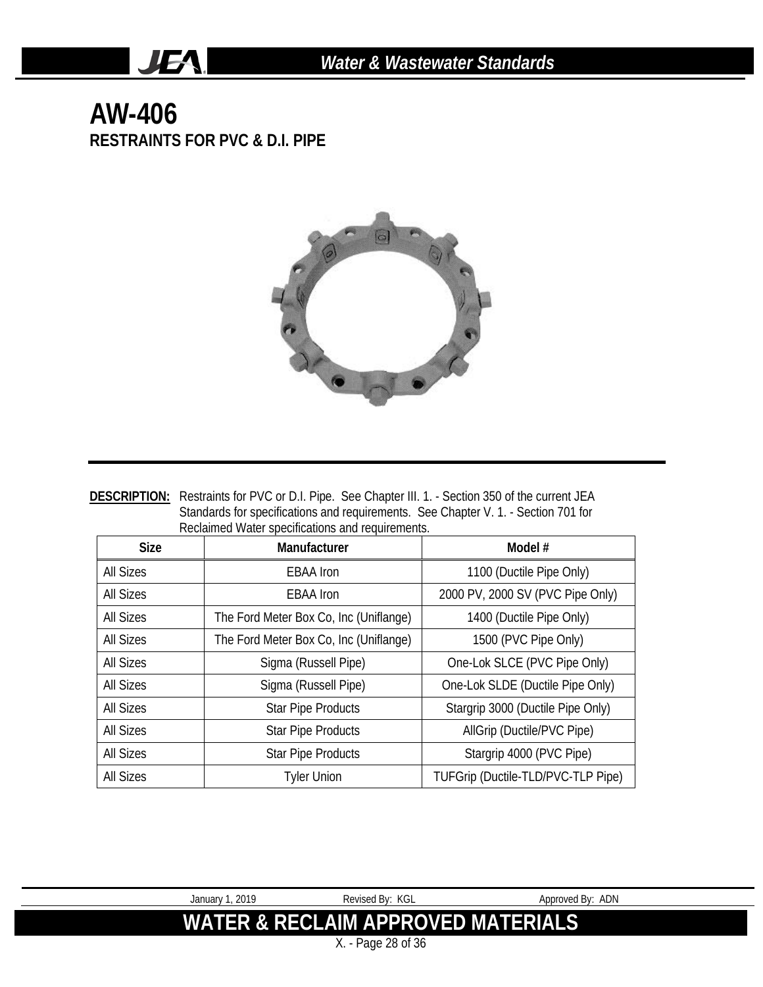# **AW-406 RESTRAINTS FOR PVC & D.I. PIPE**

JEA.



| <b>DESCRIPTION:</b> Restraints for PVC or D.I. Pipe. See Chapter III. 1. - Section 350 of the current JEA |
|-----------------------------------------------------------------------------------------------------------|
| Standards for specifications and requirements. See Chapter V. 1. - Section 701 for                        |
| Reclaimed Water specifications and requirements.                                                          |

| <b>Size</b>      | <b>Manufacturer</b>                    | Model #                            |  |
|------------------|----------------------------------------|------------------------------------|--|
| <b>All Sizes</b> | <b>EBAA</b> Iron                       | 1100 (Ductile Pipe Only)           |  |
| <b>All Sizes</b> | FBAA Iron                              | 2000 PV, 2000 SV (PVC Pipe Only)   |  |
| <b>All Sizes</b> | The Ford Meter Box Co, Inc (Uniflange) | 1400 (Ductile Pipe Only)           |  |
| <b>All Sizes</b> | The Ford Meter Box Co, Inc (Uniflange) | 1500 (PVC Pipe Only)               |  |
| <b>All Sizes</b> | Sigma (Russell Pipe)                   | One-Lok SLCE (PVC Pipe Only)       |  |
| <b>All Sizes</b> | Sigma (Russell Pipe)                   | One-Lok SLDE (Ductile Pipe Only)   |  |
| <b>All Sizes</b> | <b>Star Pipe Products</b>              | Stargrip 3000 (Ductile Pipe Only)  |  |
| <b>All Sizes</b> | <b>Star Pipe Products</b>              | AllGrip (Ductile/PVC Pipe)         |  |
| <b>All Sizes</b> | <b>Star Pipe Products</b>              | Stargrip 4000 (PVC Pipe)           |  |
| <b>All Sizes</b> | <b>Tyler Union</b>                     | TUFGrip (Ductile-TLD/PVC-TLP Pipe) |  |

| January 1, 2019 | Revised By: KGL                    | Approved By: ADN |
|-----------------|------------------------------------|------------------|
|                 | WATER & RECLAIM APPROVED MATERIALS |                  |
|                 | X. - Page 28 of 36                 |                  |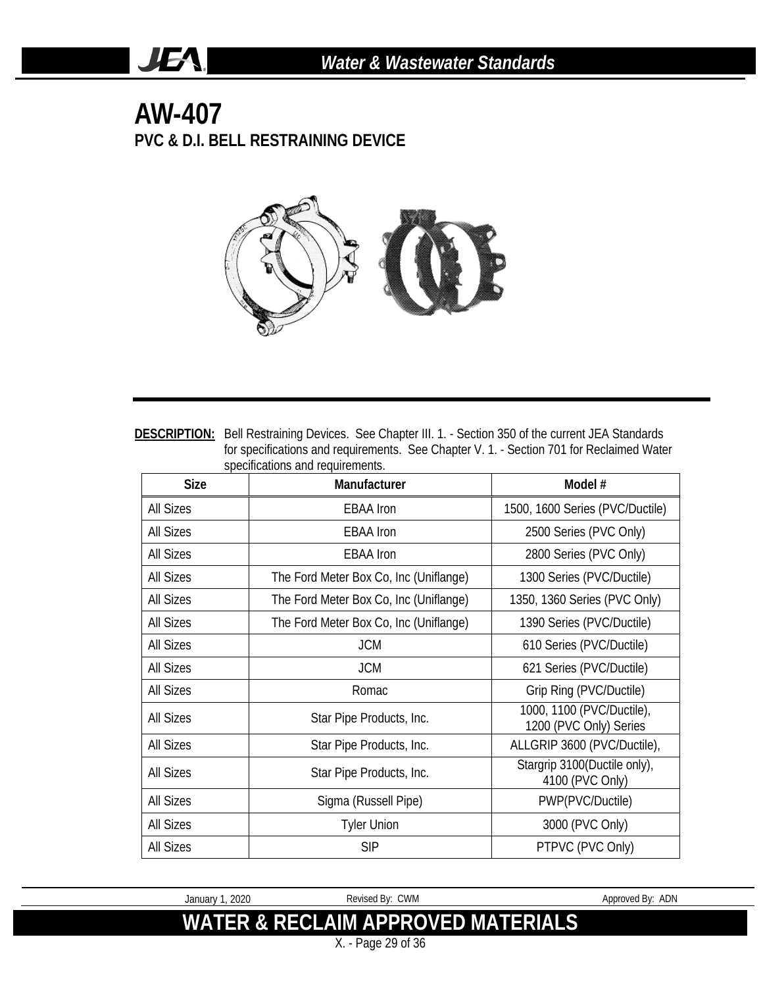# **AW-407 PVC & D.I. BELL RESTRAINING DEVICE**

JEA.



**DESCRIPTION:** Bell Restraining Devices. See Chapter III. 1. - Section 350 of the current JEA Standards for specifications and requirements. See Chapter V. 1. - Section 701 for Reclaimed Water specifications and requirements.

| <b>Size</b>      | Manufacturer                           | Model #                                             |  |
|------------------|----------------------------------------|-----------------------------------------------------|--|
| <b>All Sizes</b> | <b>EBAA</b> Iron                       | 1500, 1600 Series (PVC/Ductile)                     |  |
| <b>All Sizes</b> | <b>EBAA</b> Iron                       | 2500 Series (PVC Only)                              |  |
| <b>All Sizes</b> | <b>EBAA</b> Iron                       | 2800 Series (PVC Only)                              |  |
| <b>All Sizes</b> | The Ford Meter Box Co, Inc (Uniflange) | 1300 Series (PVC/Ductile)                           |  |
| <b>All Sizes</b> | The Ford Meter Box Co, Inc (Uniflange) | 1350, 1360 Series (PVC Only)                        |  |
| <b>All Sizes</b> | The Ford Meter Box Co, Inc (Uniflange) | 1390 Series (PVC/Ductile)                           |  |
| <b>All Sizes</b> | <b>JCM</b>                             | 610 Series (PVC/Ductile)                            |  |
| <b>All Sizes</b> | <b>JCM</b>                             | 621 Series (PVC/Ductile)                            |  |
| <b>All Sizes</b> | Romac                                  | Grip Ring (PVC/Ductile)                             |  |
| <b>All Sizes</b> | Star Pipe Products, Inc.               | 1000, 1100 (PVC/Ductile),<br>1200 (PVC Only) Series |  |
| <b>All Sizes</b> | Star Pipe Products, Inc.               | ALLGRIP 3600 (PVC/Ductile),                         |  |
| <b>All Sizes</b> | Star Pipe Products, Inc.               | Stargrip 3100(Ductile only),<br>4100 (PVC Only)     |  |
| <b>All Sizes</b> | Sigma (Russell Pipe)                   | PWP(PVC/Ductile)                                    |  |
| <b>All Sizes</b> | <b>Tyler Union</b>                     | 3000 (PVC Only)                                     |  |
| <b>All Sizes</b> | <b>SIP</b>                             | PTPVC (PVC Only)                                    |  |

January 1, 2020 **Revised By: CWM** Approved By: ADN

X. - Page 29 of 36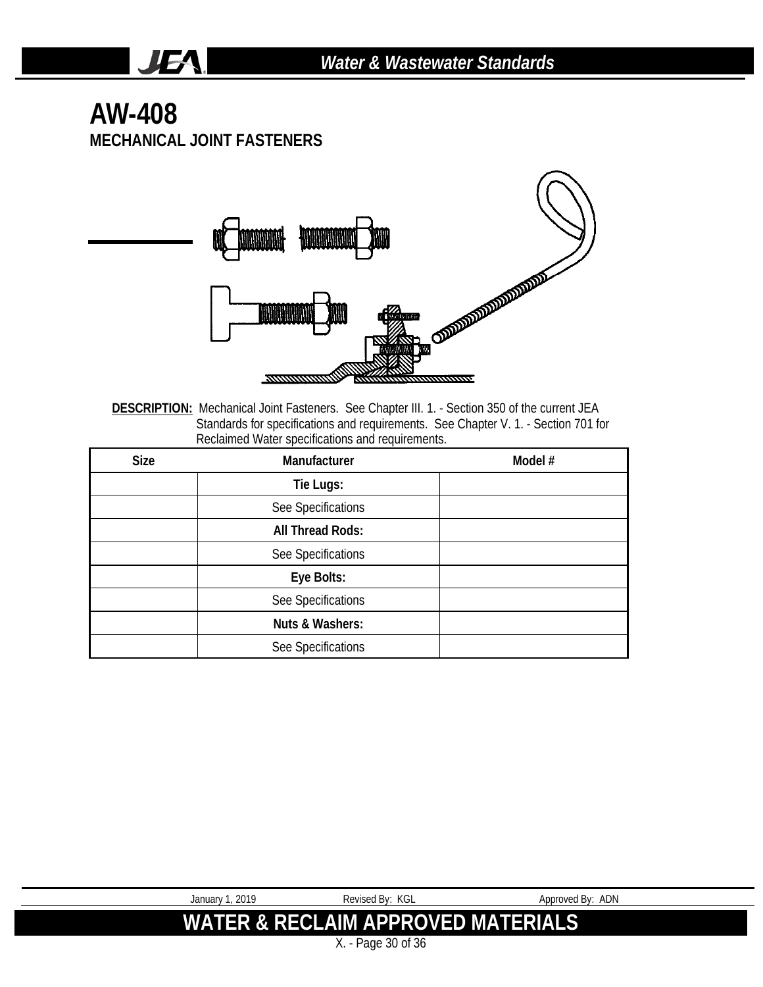# **AW-408 MECHANICAL JOINT FASTENERS**

JEA.



**DESCRIPTION:** Mechanical Joint Fasteners. See Chapter III. 1. - Section 350 of the current JEA Standards for specifications and requirements. See Chapter V. 1. - Section 701 for Reclaimed Water specifications and requirements.

| <b>Size</b> | Manufacturer            | Model # |
|-------------|-------------------------|---------|
|             | Tie Lugs:               |         |
|             | See Specifications      |         |
|             | <b>All Thread Rods:</b> |         |
|             | See Specifications      |         |
|             | Eye Bolts:              |         |
|             | See Specifications      |         |
|             | Nuts & Washers:         |         |
|             | See Specifications      |         |



X. - Page 30 of 36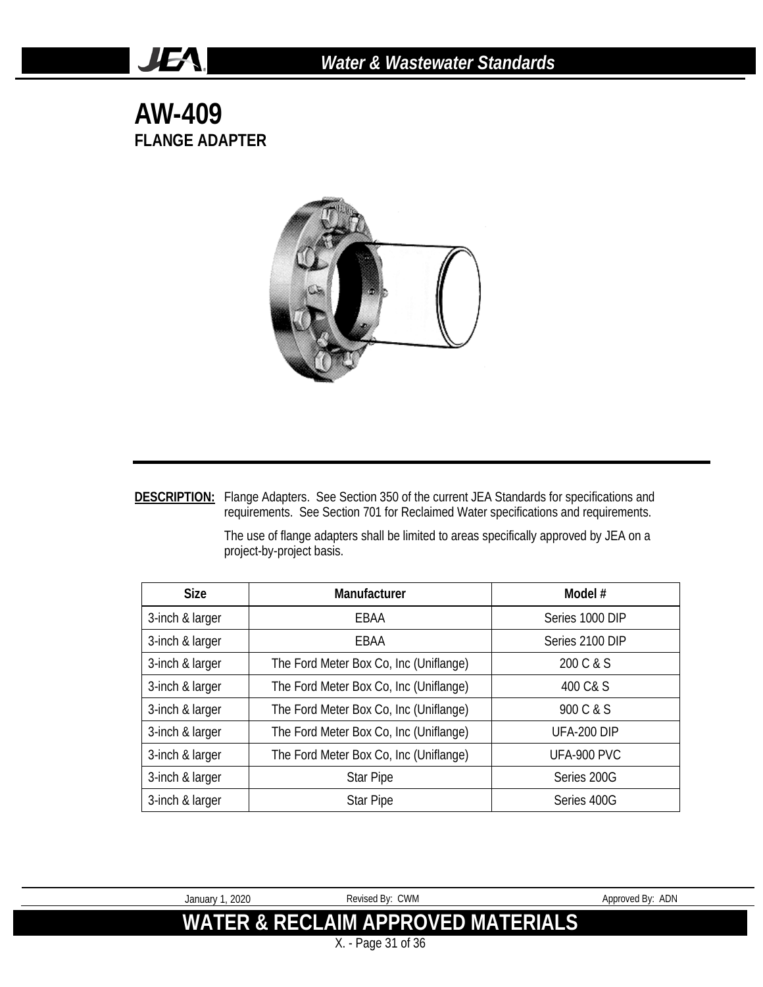### **AW-409 FLANGE ADAPTER**

JEA.



**DESCRIPTION:** Flange Adapters. See Section 350 of the current JEA Standards for specifications and requirements. See Section 701 for Reclaimed Water specifications and requirements.

| $P: S \cup S$ is a project section |                                        |                 |
|------------------------------------|----------------------------------------|-----------------|
| <b>Size</b>                        | Manufacturer                           | Model #         |
| 3-inch & larger                    | EBAA                                   | Series 1000 DIP |
| 3-inch & larger                    | EBAA                                   | Series 2100 DIP |
| 3-inch & larger                    | The Ford Meter Box Co, Inc (Uniflange) | 200 C & S       |
| 3-inch & larger                    | The Ford Meter Box Co, Inc (Uniflange) | 400 C& S        |
| 3-inch & larger                    | The Ford Meter Box Co, Inc (Uniflange) | 900 C & S       |
| 3-inch & larger                    | The Ford Meter Box Co, Inc (Uniflange) | UFA-200 DIP     |
| 3-inch & larger                    | The Ford Meter Box Co, Inc (Uniflange) | UFA-900 PVC     |
| 3-inch & larger                    | <b>Star Pipe</b>                       | Series 200G     |
| 3-inch & larger                    | <b>Star Pipe</b>                       | Series 400G     |

The use of flange adapters shall be limited to areas specifically approved by JEA on a project-by-project basis.

| January 1, 2020 | Revised By: CWM                    | Approved By: ADN |
|-----------------|------------------------------------|------------------|
|                 | WATER & RECLAIM APPROVED MATERIALS |                  |
|                 | X. - Page 31 of 36                 |                  |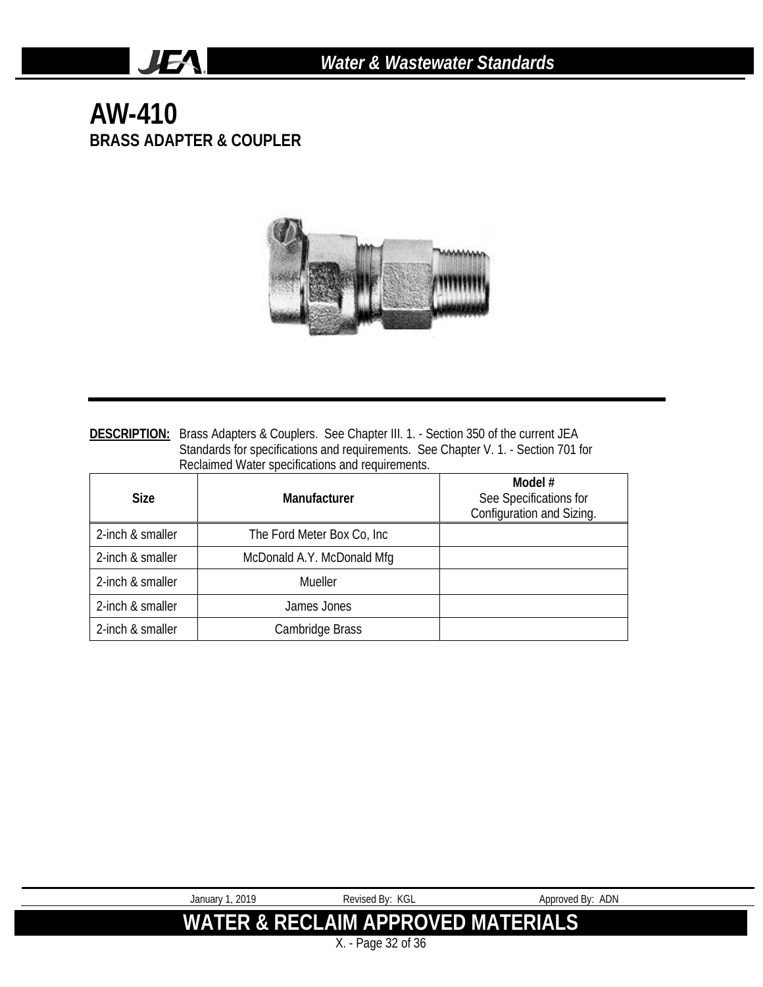# **AW-410 BRASS ADAPTER & COUPLER**

 $L =$ 



| <b>DESCRIPTION:</b> Brass Adapters & Couplers. See Chapter III. 1. - Section 350 of the current JEA |
|-----------------------------------------------------------------------------------------------------|
| Standards for specifications and requirements. See Chapter V. 1. - Section 701 for                  |
| Reclaimed Water specifications and requirements.                                                    |

| <b>Size</b>      | <b>Manufacturer</b>         | Model #<br>See Specifications for<br>Configuration and Sizing. |
|------------------|-----------------------------|----------------------------------------------------------------|
| 2-inch & smaller | The Ford Meter Box Co, Inc. |                                                                |
| 2-inch & smaller | McDonald A.Y. McDonald Mfg  |                                                                |
| 2-inch & smaller | Mueller                     |                                                                |
| 2-inch & smaller | James Jones                 |                                                                |
| 2-inch & smaller | Cambridge Brass             |                                                                |

| January 1, 2019 | Revised By: KGL                    | Approved By: ADN |
|-----------------|------------------------------------|------------------|
|                 | WATER & RECLAIM APPROVED MATERIALS |                  |
|                 | X. - Page 32 of 36                 |                  |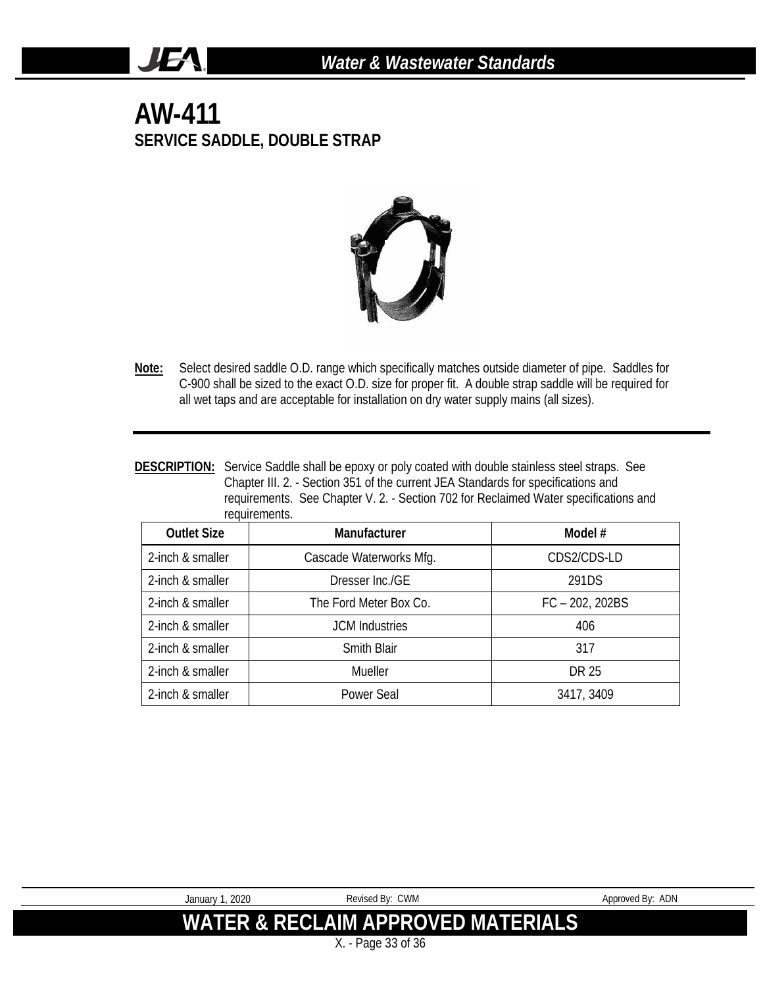# **AW-411 SERVICE SADDLE, DOUBLE STRAP**

**JEA** 



**Note:** Select desired saddle O.D. range which specifically matches outside diameter of pipe. Saddles for C-900 shall be sized to the exact O.D. size for proper fit. A double strap saddle will be required for all wet taps and are acceptable for installation on dry water supply mains (all sizes).

**DESCRIPTION:** Service Saddle shall be epoxy or poly coated with double stainless steel straps. See Chapter III. 2. - Section 351 of the current JEA Standards for specifications and requirements. See Chapter V. 2. - Section 702 for Reclaimed Water specifications and requirements.

| <b>Outlet Size</b> | <b>Manufacturer</b>     | Model #           |
|--------------------|-------------------------|-------------------|
| 2-inch & smaller   | Cascade Waterworks Mfg. | CDS2/CDS-LD       |
| 2-inch & smaller   | Dresser Inc./GE         | 291DS             |
| 2-inch & smaller   | The Ford Meter Box Co.  | $FC - 202, 202BS$ |
| 2-inch & smaller   | <b>JCM Industries</b>   | 406               |
| 2-inch & smaller   | <b>Smith Blair</b>      | 317               |
| 2-inch & smaller   | Mueller                 | DR 25             |
| 2-inch & smaller   | Power Seal              | 3417, 3409        |

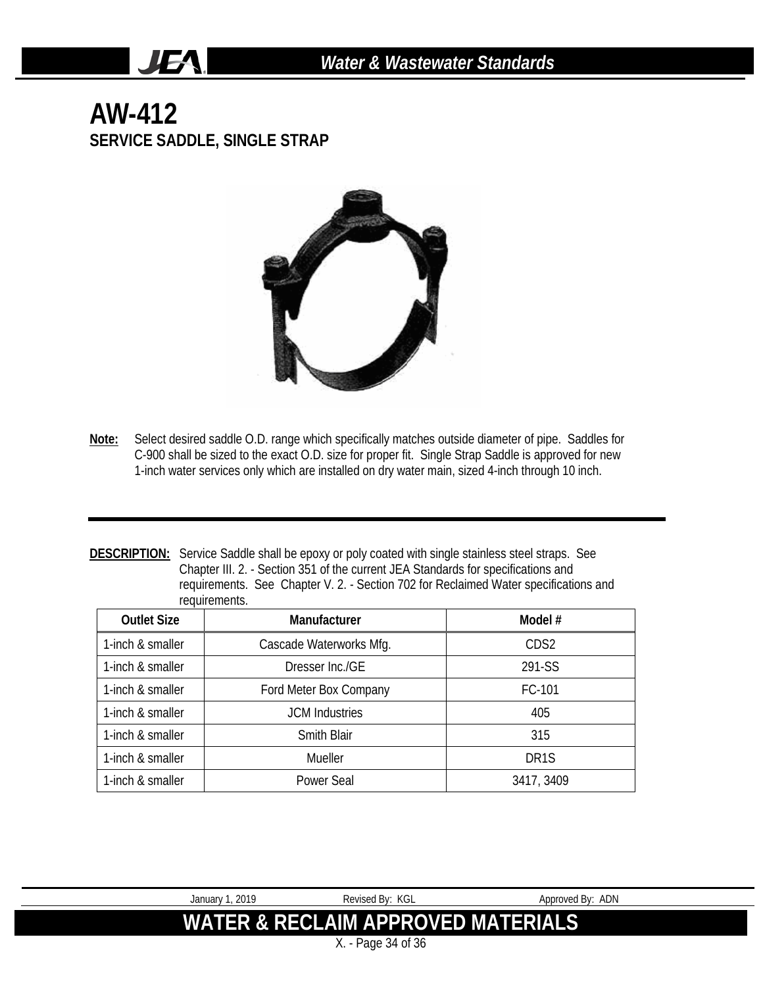**AW-412 SERVICE SADDLE, SINGLE STRAP**

**JEA** 



- **Note:** Select desired saddle O.D. range which specifically matches outside diameter of pipe. Saddles for C-900 shall be sized to the exact O.D. size for proper fit. Single Strap Saddle is approved for new 1-inch water services only which are installed on dry water main, sized 4-inch through 10 inch.
- **DESCRIPTION:** Service Saddle shall be epoxy or poly coated with single stainless steel straps. See Chapter III. 2. - Section 351 of the current JEA Standards for specifications and requirements. See Chapter V. 2. - Section 702 for Reclaimed Water specifications and requirements.

| <b>Outlet Size</b> | <b>Manufacturer</b>     | Model #           |
|--------------------|-------------------------|-------------------|
| 1-inch & smaller   | Cascade Waterworks Mfg. | CDS <sub>2</sub>  |
| 1-inch & smaller   | Dresser Inc./GE         | 291-SS            |
| 1-inch & smaller   | Ford Meter Box Company  | FC-101            |
| 1-inch & smaller   | <b>JCM Industries</b>   | 405               |
| 1-inch & smaller   | <b>Smith Blair</b>      | 315               |
| 1-inch & smaller   | Mueller                 | DR <sub>1</sub> S |
| 1-inch & smaller   | Power Seal              | 3417, 3409        |

| January 1, 2019                     | Revised By: KGL | Approved By: ADN |  |
|-------------------------------------|-----------------|------------------|--|
|                                     |                 |                  |  |
| WATER & RECLAIM APPROVED MATERIALS! |                 |                  |  |
|                                     |                 |                  |  |
| X. - Page 34 of 36                  |                 |                  |  |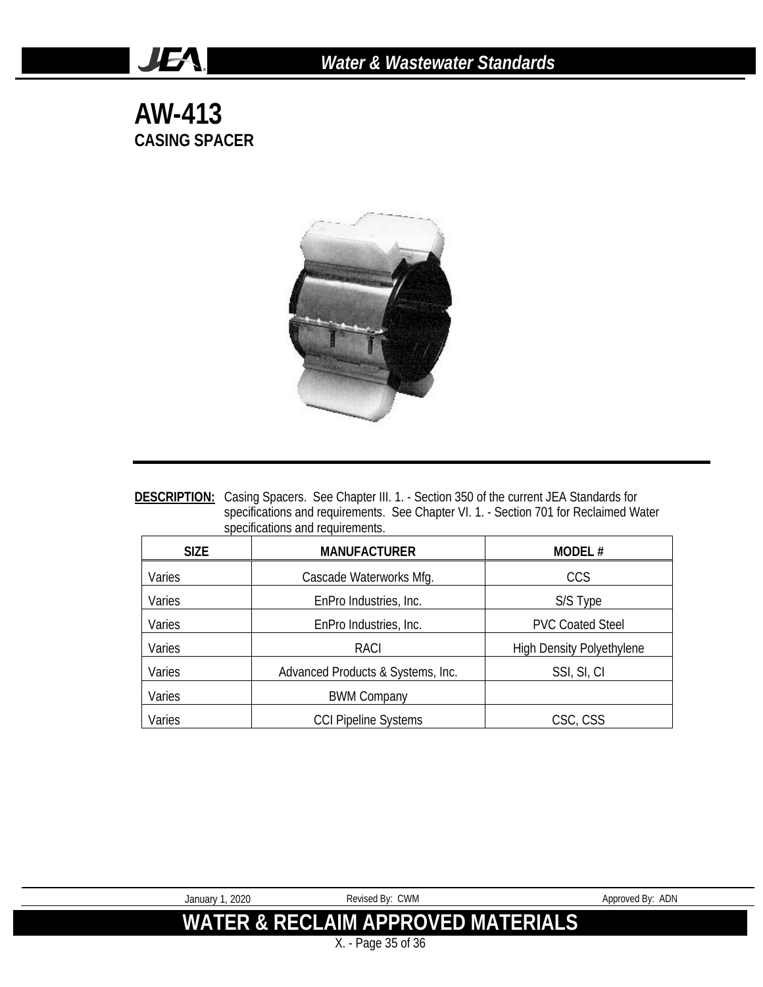# *Water & Wastewater Standards*

### **AW-413 CASING SPACER**

**JEA** 



| <b>DESCRIPTION:</b> Casing Spacers. See Chapter III. 1. - Section 350 of the current JEA Standards for |
|--------------------------------------------------------------------------------------------------------|
| specifications and requirements. See Chapter VI. 1. - Section 701 for Reclaimed Water                  |
| specifications and requirements.                                                                       |

| <b>SIZE</b> | <b>MANUFACTURER</b>               | MODEL#                           |
|-------------|-----------------------------------|----------------------------------|
| Varies      | Cascade Waterworks Mfg.           | <b>CCS</b>                       |
| Varies      | EnPro Industries, Inc.            | S/S Type                         |
| Varies      | EnPro Industries, Inc.            | <b>PVC Coated Steel</b>          |
| Varies      | RACI                              | <b>High Density Polyethylene</b> |
| Varies      | Advanced Products & Systems, Inc. | SSI, SI, CI                      |
| Varies      | <b>BWM Company</b>                |                                  |
| Varies      | <b>CCI Pipeline Systems</b>       | CSC, CSS                         |